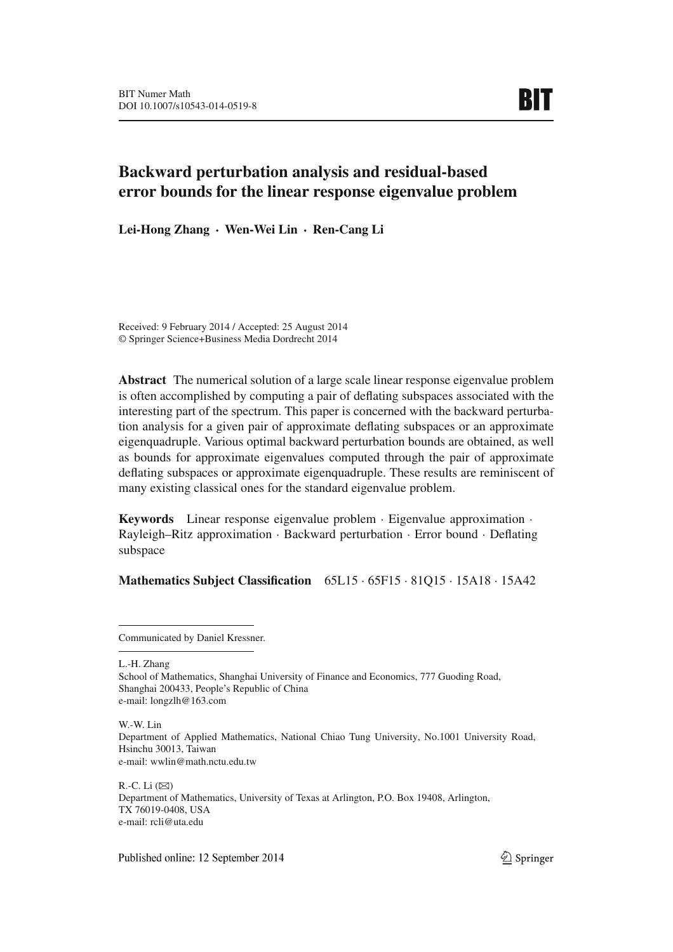# **Backward perturbation analysis and residual-based error bounds for the linear response eigenvalue problem**

**Lei-Hong Zhang** · **Wen-Wei Lin** · **Ren-Cang Li**

Received: 9 February 2014 / Accepted: 25 August 2014 © Springer Science+Business Media Dordrecht 2014

**Abstract** The numerical solution of a large scale linear response eigenvalue problem is often accomplished by computing a pair of deflating subspaces associated with the interesting part of the spectrum. This paper is concerned with the backward perturbation analysis for a given pair of approximate deflating subspaces or an approximate eigenquadruple. Various optimal backward perturbation bounds are obtained, as well as bounds for approximate eigenvalues computed through the pair of approximate deflating subspaces or approximate eigenquadruple. These results are reminiscent of many existing classical ones for the standard eigenvalue problem.

**Keywords** Linear response eigenvalue problem · Eigenvalue approximation · Rayleigh–Ritz approximation · Backward perturbation · Error bound · Deflating subspace

## **Mathematics Subject Classification** 65L15 · 65F15 · 81Q15 · 15A18 · 15A42

L.-H. Zhang

W.-W. Lin Department of Applied Mathematics, National Chiao Tung University, No.1001 University Road, Hsinchu 30013, Taiwan e-mail: wwlin@math.nctu.edu.tw

R.-C. Li  $(\boxtimes)$ Department of Mathematics, University of Texas at Arlington, P.O. Box 19408, Arlington, TX 76019-0408, USA e-mail: rcli@uta.edu

Published online: 12 September 2014

Communicated by Daniel Kressner.

School of Mathematics, Shanghai University of Finance and Economics, 777 Guoding Road, Shanghai 200433, People's Republic of China e-mail: longzlh@163.com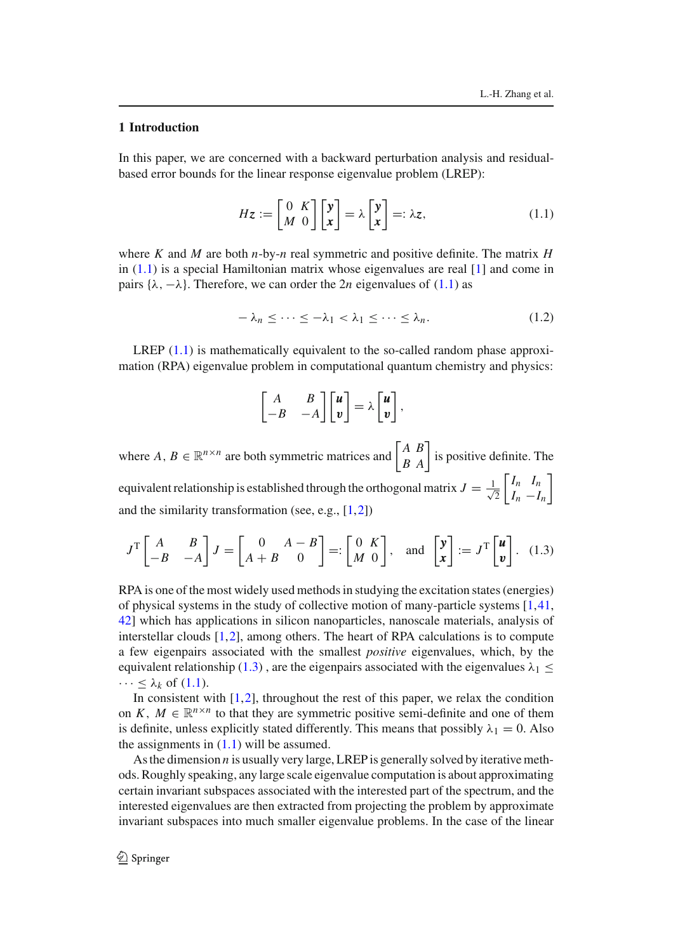### **1 Introduction**

In this paper, we are concerned with a backward perturbation analysis and residualbased error bounds for the linear response eigenvalue problem (LREP):

$$
Hz := \begin{bmatrix} 0 & K \\ M & 0 \end{bmatrix} \begin{bmatrix} y \\ x \end{bmatrix} = \lambda \begin{bmatrix} y \\ x \end{bmatrix} =: \lambda z, \qquad (1.1)
$$

where *K* and *M* are both *n*-by-*n* real symmetric and positive definite. The matrix *H* in  $(1.1)$  is a special Hamiltonian matrix whose eigenvalues are real  $[1]$  and come in pairs  $\{\lambda, -\lambda\}$ . Therefore, we can order the 2*n* eigenvalues of (1.1) as

$$
-\lambda_n \leq \cdots \leq -\lambda_1 < \lambda_1 \leq \cdots \leq \lambda_n. \tag{1.2}
$$

LREP  $(1.1)$  is mathematically equivalent to the so-called random phase approximation (RPA) eigenvalue problem in computational quantum chemistry and physics:

$$
\begin{bmatrix} A & B \\ -B & -A \end{bmatrix} \begin{bmatrix} u \\ v \end{bmatrix} = \lambda \begin{bmatrix} u \\ v \end{bmatrix},
$$

where  $A, B \in \mathbb{R}^{n \times n}$  are both symmetric matrices and  $\begin{bmatrix} A & B \\ B & A \end{bmatrix}$  is positive definite. The equivalent relationship is established through the orthogonal matrix  $J = \frac{1}{\sqrt{2}}$ 2  $\begin{bmatrix} I_n & I_n \end{bmatrix}$  $I_n - I_n$ 1 and the similarity transformation (see, e.g., [1,2])

$$
J^{\mathrm{T}}\begin{bmatrix} A & B \\ -B & -A \end{bmatrix} J = \begin{bmatrix} 0 & A - B \\ A + B & 0 \end{bmatrix} =: \begin{bmatrix} 0 & K \\ M & 0 \end{bmatrix}, \quad \text{and} \quad \begin{bmatrix} \mathbf{y} \\ \mathbf{x} \end{bmatrix} := J^{\mathrm{T}}\begin{bmatrix} \mathbf{u} \\ \mathbf{v} \end{bmatrix}. \tag{1.3}
$$

RPA is one of the most widely used methods in studying the excitation states (energies) of physical systems in the study of collective motion of many-particle systems [1,41, 42] which has applications in silicon nanoparticles, nanoscale materials, analysis of interstellar clouds [1,2], among others. The heart of RPA calculations is to compute a few eigenpairs associated with the smallest *positive* eigenvalues, which, by the equivalent relationship (1.3), are the eigenpairs associated with the eigenvalues  $\lambda_1 \leq$  $\cdots \leq \lambda_k$  of (1.1).

In consistent with  $[1,2]$ , throughout the rest of this paper, we relax the condition on *K*,  $M \in \mathbb{R}^{n \times n}$  to that they are symmetric positive semi-definite and one of them is definite, unless explicitly stated differently. This means that possibly  $\lambda_1 = 0$ . Also the assignments in  $(1.1)$  will be assumed.

As the dimension *n* is usually very large, LREP is generally solved by iterative methods. Roughly speaking, any large scale eigenvalue computation is about approximating certain invariant subspaces associated with the interested part of the spectrum, and the interested eigenvalues are then extracted from projecting the problem by approximate invariant subspaces into much smaller eigenvalue problems. In the case of the linear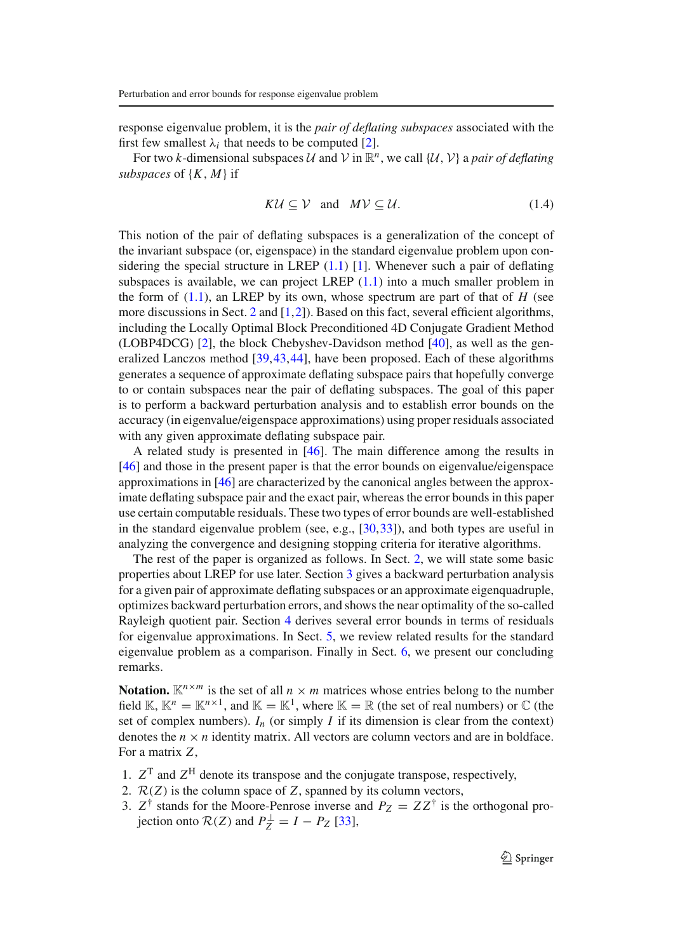response eigenvalue problem, it is the *pair of deflating subspaces* associated with the first few smallest  $\lambda_i$  that needs to be computed [2].

For two *k*-dimensional subspaces U and V in  $\mathbb{R}^n$ , we call  $\{U, V\}$  a *pair of deflating subspaces* of {*K*, *M*} if

$$
K\mathcal{U} \subseteq \mathcal{V} \quad \text{and} \quad M\mathcal{V} \subseteq \mathcal{U}.\tag{1.4}
$$

This notion of the pair of deflating subspaces is a generalization of the concept of the invariant subspace (or, eigenspace) in the standard eigenvalue problem upon considering the special structure in LREP  $(1.1)$  [1]. Whenever such a pair of deflating subspaces is available, we can project LREP  $(1.1)$  into a much smaller problem in the form of  $(1.1)$ , an LREP by its own, whose spectrum are part of that of *H* (see more discussions in Sect. 2 and [1,2]). Based on this fact, several efficient algorithms, including the Locally Optimal Block Preconditioned 4D Conjugate Gradient Method (LOBP4DCG) [2], the block Chebyshev-Davidson method [40], as well as the generalized Lanczos method [39,43,44], have been proposed. Each of these algorithms generates a sequence of approximate deflating subspace pairs that hopefully converge to or contain subspaces near the pair of deflating subspaces. The goal of this paper is to perform a backward perturbation analysis and to establish error bounds on the accuracy (in eigenvalue/eigenspace approximations) using proper residuals associated with any given approximate deflating subspace pair.

A related study is presented in [46]. The main difference among the results in [46] and those in the present paper is that the error bounds on eigenvalue/eigenspace approximations in [46] are characterized by the canonical angles between the approximate deflating subspace pair and the exact pair, whereas the error bounds in this paper use certain computable residuals. These two types of error bounds are well-established in the standard eigenvalue problem (see, e.g., [30,33]), and both types are useful in analyzing the convergence and designing stopping criteria for iterative algorithms.

The rest of the paper is organized as follows. In Sect. 2, we will state some basic properties about LREP for use later. Section 3 gives a backward perturbation analysis for a given pair of approximate deflating subspaces or an approximate eigenquadruple, optimizes backward perturbation errors, and shows the near optimality of the so-called Rayleigh quotient pair. Section 4 derives several error bounds in terms of residuals for eigenvalue approximations. In Sect. 5, we review related results for the standard eigenvalue problem as a comparison. Finally in Sect. 6, we present our concluding remarks.

**Notation.**  $K^{n \times m}$  is the set of all  $n \times m$  matrices whose entries belong to the number field K,  $K^n = K^{n \times 1}$ , and  $K = K^1$ , where  $K = \mathbb{R}$  (the set of real numbers) or  $\mathbb{C}$  (the set of complex numbers).  $I_n$  (or simply *I* if its dimension is clear from the context) denotes the  $n \times n$  identity matrix. All vectors are column vectors and are in boldface. For a matrix *Z*,

- 1.  $Z<sup>T</sup>$  and  $Z<sup>H</sup>$  denote its transpose and the conjugate transpose, respectively,
- 2. R(*Z*) is the column space of *Z*, spanned by its column vectors,
- 3.  $Z^{\dagger}$  stands for the Moore-Penrose inverse and  $P_Z = ZZ^{\dagger}$  is the orthogonal pro- $\text{J}$  *jection onto*  $\mathcal{R}(Z)$  and  $P_Z^{\perp} = I - P_Z$  [33],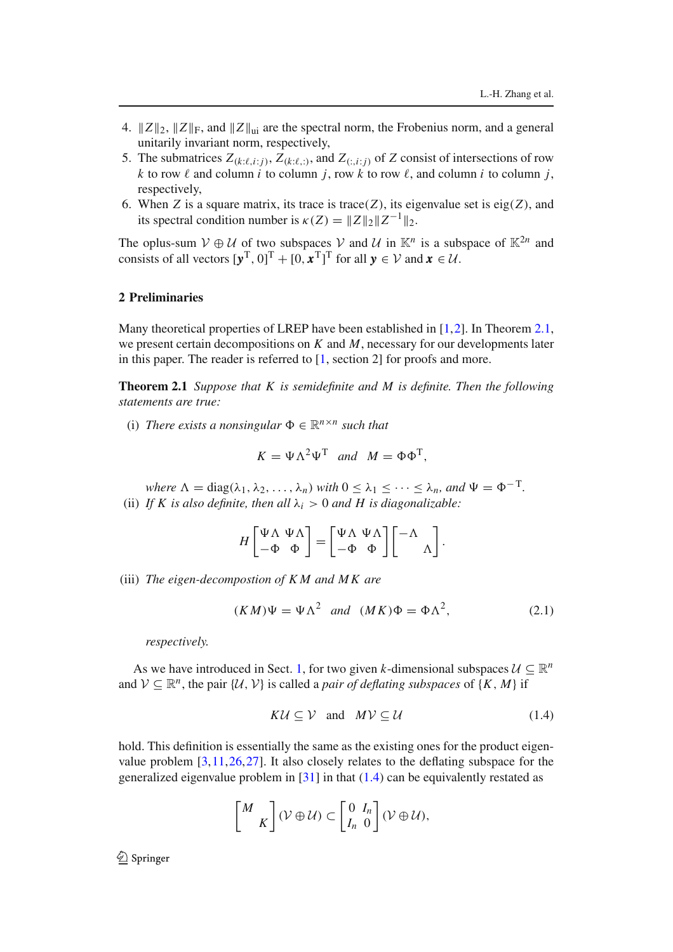- 4.  $||Z||_2$ ,  $||Z||_F$ , and  $||Z||_{\text{ui}}$  are the spectral norm, the Frobenius norm, and a general unitarily invariant norm, respectively,
- 5. The submatrices  $Z_{(k:\ell,i;j)}$ ,  $Z_{(k:\ell,:j)}$ , and  $Z_{(:,i;j)}$  of  $Z$  consist of intersections of row *k* to row  $\ell$  and column *i* to column *j*, row *k* to row  $\ell$ , and column *i* to column *j*, respectively,
- 6. When *Z* is a square matrix, its trace is trace(*Z*), its eigenvalue set is eig(*Z*), and its spectral condition number is  $\kappa(Z) = ||Z||_2 ||Z^{-1}||_2$ .

The oplus-sum  $V \oplus U$  of two subspaces V and U in  $\mathbb{K}^n$  is a subspace of  $\mathbb{K}^{2n}$  and consists of all vectors  $[\mathbf{y}^T, 0]^T + [0, \mathbf{x}^T]^T$  for all  $\mathbf{y} \in \mathcal{V}$  and  $\mathbf{x} \in \mathcal{U}$ .

### **2 Preliminaries**

Many theoretical properties of LREP have been established in [1,2]. In Theorem 2.1, we present certain decompositions on *K* and *M*, necessary for our developments later in this paper. The reader is referred to [1, section 2] for proofs and more.

**Theorem 2.1** *Suppose that K is semidefinite and M is definite. Then the following statements are true:*

(i) *There exists a nonsingular*  $\Phi \in \mathbb{R}^{n \times n}$  *such that* 

$$
K = \Psi \Lambda^2 \Psi^{\mathrm{T}} \quad and \quad M = \Phi \Phi^{\mathrm{T}},
$$

*where*  $\Lambda = \text{diag}(\lambda_1, \lambda_2, \dots, \lambda_n)$  *with*  $0 \leq \lambda_1 \leq \dots \leq \lambda_n$ , and  $\Psi = \Phi^{-T}$ . (ii) *If K is also definite, then all*  $\lambda_i > 0$  *and H is diagonalizable:* 

$$
H\begin{bmatrix} \Psi \Lambda & \Psi \Lambda \\ -\Phi & \Phi \end{bmatrix} = \begin{bmatrix} \Psi \Lambda & \Psi \Lambda \\ -\Phi & \Phi \end{bmatrix} \begin{bmatrix} -\Lambda \\ & \Lambda \end{bmatrix}.
$$

(iii) *The eigen-decompostion of K M and M K are*

$$
(KM)\Psi = \Psi\Lambda^2 \quad and \quad (MK)\Phi = \Phi\Lambda^2,\tag{2.1}
$$

*respectively.*

As we have introduced in Sect. 1, for two given *k*-dimensional subspaces  $\mathcal{U} \subseteq \mathbb{R}^n$ and  $V \subseteq \mathbb{R}^n$ , the pair  $\{U, V\}$  is called a *pair of deflating subspaces* of  $\{K, M\}$  if

$$
K\mathcal{U} \subseteq \mathcal{V} \quad \text{and} \quad M\mathcal{V} \subseteq \mathcal{U} \tag{1.4}
$$

hold. This definition is essentially the same as the existing ones for the product eigenvalue problem [3,11,26,27]. It also closely relates to the deflating subspace for the generalized eigenvalue problem in  $[31]$  in that  $(1.4)$  can be equivalently restated as

$$
\begin{bmatrix} M \\ K \end{bmatrix} (\mathcal{V} \oplus \mathcal{U}) \subset \begin{bmatrix} 0 & I_n \\ I_n & 0 \end{bmatrix} (\mathcal{V} \oplus \mathcal{U}),
$$

 $\mathcal{D}$  Springer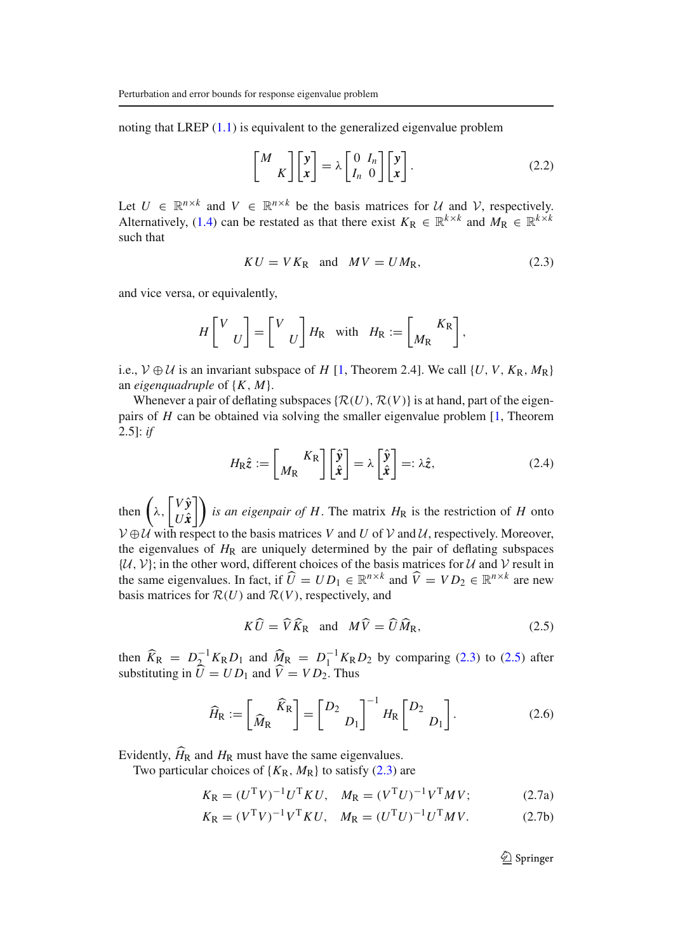noting that LREP  $(1.1)$  is equivalent to the generalized eigenvalue problem

$$
\begin{bmatrix} M \\ K \end{bmatrix} \begin{bmatrix} \mathbf{y} \\ \mathbf{x} \end{bmatrix} = \lambda \begin{bmatrix} 0 & I_n \\ I_n & 0 \end{bmatrix} \begin{bmatrix} \mathbf{y} \\ \mathbf{x} \end{bmatrix}.
$$
 (2.2)

Let  $U \in \mathbb{R}^{n \times k}$  and  $V \in \mathbb{R}^{n \times k}$  be the basis matrices for U and V, respectively. Alternatively, (1.4) can be restated as that there exist  $K_R \in \mathbb{R}^{k \times k}$  and  $M_R \in \mathbb{R}^{k \times k}$ such that

$$
KU = VKR \text{ and } MV = UMR,
$$
 (2.3)

and vice versa, or equivalently,

$$
H\begin{bmatrix} V \\ U \end{bmatrix} = \begin{bmatrix} V \\ U \end{bmatrix} H_{\rm R} \text{ with } H_{\rm R} := \begin{bmatrix} K_{\rm R} \\ M_{\rm R} \end{bmatrix},
$$

i.e.,  $V \oplus U$  is an invariant subspace of *H* [1, Theorem 2.4]. We call {*U*, *V*,  $K_R$ ,  $M_R$ } an *eigenquadruple* of {*K*, *M*}.

Whenever a pair of deflating subspaces  $\{R(U), R(V)\}\$ is at hand, part of the eigenpairs of *H* can be obtained via solving the smaller eigenvalue problem [1, Theorem 2.5]: *if*

$$
H_{\rm R}\hat{z} := \begin{bmatrix} K_{\rm R} \\ M_{\rm R} \end{bmatrix} \begin{bmatrix} \hat{y} \\ \hat{x} \end{bmatrix} = \lambda \begin{bmatrix} \hat{y} \\ \hat{x} \end{bmatrix} =: \lambda \hat{z}, \qquad (2.4)
$$

then  $\bigwedge$ ,  $\int V \hat{y}$ *Ux*ˆ  $\iint$  *is an eigenpair of H*. The matrix  $H_R$  is the restriction of *H* onto  $V \oplus U$  with respect to the basis matrices *V* and *U* of *V* and *U*, respectively. Moreover, the eigenvalues of  $H_R$  are uniquely determined by the pair of deflating subspaces  $\{\mathcal{U}, \mathcal{V}\}$ ; in the other word, different choices of the basis matrices for  $\mathcal{U}$  and  $\mathcal{V}$  result in the same eigenvalues. In fact, if  $\widehat{U} = UD_1 \in \mathbb{R}^{n \times k}$  and  $\widehat{V} = VD_2 \in \mathbb{R}^{n \times k}$  are new basis matrices for  $\mathcal{R}(U)$  and  $\mathcal{R}(V)$ , respectively, and

$$
K\widehat{U} = \widehat{V}\widehat{K}_{R} \text{ and } M\widehat{V} = \widehat{U}\widehat{M}_{R}, \qquad (2.5)
$$

then  $\widehat{K}_{\text{R}} = D_{2}^{-1} K_{\text{R}} D_{1}$  and  $\widehat{M}_{\text{R}} = D_{1}^{-1} K_{\text{R}} D_{2}$  by comparing (2.3) to (2.5) after substituting in  $\hat{U} = U D_1$  and  $\hat{V} = V D_2$ . Thus

$$
\widehat{H}_{\text{R}} := \left[ \widehat{M}_{\text{R}} \widehat{K}_{\text{R}} \right] = \left[ \begin{array}{c} D_2 \\ D_1 \end{array} \right]^{-1} H_{\text{R}} \left[ \begin{array}{c} D_2 \\ D_1 \end{array} \right]. \tag{2.6}
$$

Evidently,  $\hat{H}_{\rm R}$  and  $H_{\rm R}$  must have the same eigenvalues.

Two particular choices of  $\{K_R, M_R\}$  to satisfy (2.3) are

$$
K_{\rm R} = (U^{\rm T}V)^{-1}U^{\rm T}KU, \quad M_{\rm R} = (V^{\rm T}U)^{-1}V^{\rm T}MV; \tag{2.7a}
$$

$$
K_{\rm R} = (V^{\rm T}V)^{-1}V^{\rm T}KU, \quad M_{\rm R} = (U^{\rm T}U)^{-1}U^{\rm T}MV.
$$
 (2.7b)

 $\bigcirc$  Springer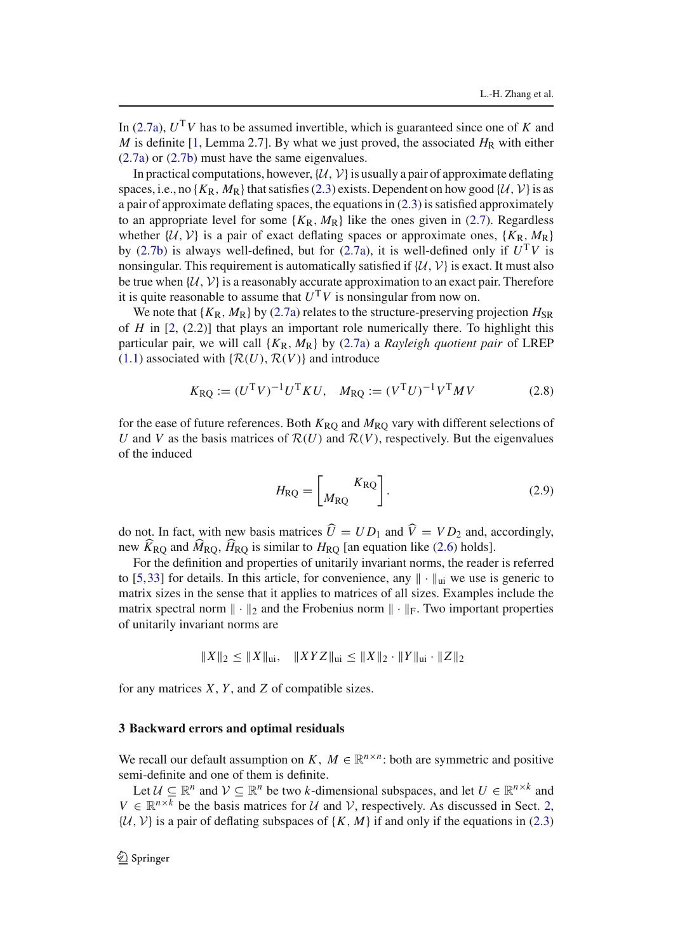In (2.7a),  $U<sup>T</sup>V$  has to be assumed invertible, which is guaranteed since one of *K* and *M* is definite [1, Lemma 2.7]. By what we just proved, the associated  $H_R$  with either (2.7a) or (2.7b) must have the same eigenvalues.

In practical computations, however,  $\{U, V\}$  is usually a pair of approximate deflating spaces, i.e., no  $\{K_R, M_R\}$  that satisfies (2.3) exists. Dependent on how good  $\{U, V\}$  is as a pair of approximate deflating spaces, the equations in (2.3) is satisfied approximately to an appropriate level for some  ${K_R, M_R}$  like the ones given in (2.7). Regardless whether  $\{U, V\}$  is a pair of exact deflating spaces or approximate ones,  $\{K_R, M_R\}$ by (2.7b) is always well-defined, but for (2.7a), it is well-defined only if  $U<sup>T</sup>V$  is nonsingular. This requirement is automatically satisfied if  $\{U, V\}$  is exact. It must also be true when  $\{U, V\}$  is a reasonably accurate approximation to an exact pair. Therefore it is quite reasonable to assume that  $U<sup>T</sup>V$  is nonsingular from now on.

We note that  ${K_R, M_R}$  by (2.7a) relates to the structure-preserving projection  $H_{SR}$ of *H* in [2, (2.2)] that plays an important role numerically there. To highlight this particular pair, we will call  ${K_R, M_R}$  by (2.7a) a *Rayleigh quotient pair* of LREP  $(1.1)$  associated with  $\{R(U), R(V)\}\$ and introduce

$$
K_{\rm RQ} := (U^{\rm T}V)^{-1}U^{\rm T}KU, \quad M_{\rm RQ} := (V^{\rm T}U)^{-1}V^{\rm T}MV \tag{2.8}
$$

for the ease of future references. Both  $K_{\text{RO}}$  and  $M_{\text{RO}}$  vary with different selections of *U* and *V* as the basis matrices of  $R(U)$  and  $R(V)$ , respectively. But the eigenvalues of the induced

$$
H_{\rm RQ} = \begin{bmatrix} K_{\rm RQ} \\ M_{\rm RQ} \end{bmatrix} . \tag{2.9}
$$

do not. In fact, with new basis matrices  $U = UD_1$  and  $V = VD_2$  and, accordingly, new  $K_{\text{RQ}}$  and  $\dot{M}_{\text{RQ}}$ ,  $\dot{H}_{\text{RQ}}$  is similar to  $H_{\text{RQ}}$  [an equation like (2.6) holds].

For the definition and properties of unitarily invariant norms, the reader is referred to [5,33] for details. In this article, for convenience, any  $\|\cdot\|_{\text{ui}}$  we use is generic to matrix sizes in the sense that it applies to matrices of all sizes. Examples include the matrix spectral norm  $\|\cdot\|_2$  and the Frobenius norm  $\|\cdot\|_F$ . Two important properties of unitarily invariant norms are

$$
||X||_2 \le ||X||_{\text{ui}}, \quad ||XYZ||_{\text{ui}} \le ||X||_2 \cdot ||Y||_{\text{ui}} \cdot ||Z||_2
$$

for any matrices *X*, *Y* , and *Z* of compatible sizes.

### **3 Backward errors and optimal residuals**

We recall our default assumption on *K*,  $M \in \mathbb{R}^{n \times n}$ : both are symmetric and positive semi-definite and one of them is definite.

Let  $U \subseteq \mathbb{R}^n$  and  $V \subseteq \mathbb{R}^n$  be two *k*-dimensional subspaces, and let  $U \in \mathbb{R}^{n \times k}$  and  $V \in \mathbb{R}^{n \times k}$  be the basis matrices for U and V, respectively. As discussed in Sect. 2,  $\{\mathcal{U}, \mathcal{V}\}$  is a pair of deflating subspaces of  $\{K, M\}$  if and only if the equations in (2.3)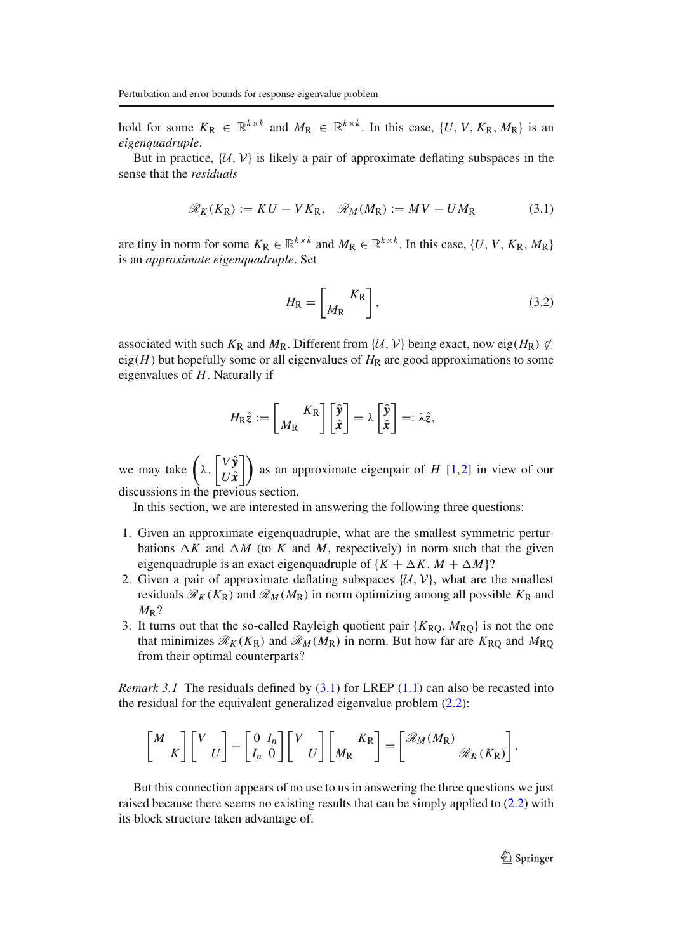hold for some  $K_R \in \mathbb{R}^{k \times k}$  and  $M_R \in \mathbb{R}^{k \times k}$ . In this case,  $\{U, V, K_R, M_R\}$  is an *eigenquadruple*.

But in practice,  $\{U, V\}$  is likely a pair of approximate deflating subspaces in the sense that the *residuals*

$$
\mathcal{R}_K(K_R) := KU - VK_R, \quad \mathcal{R}_M(M_R) := MV - UM_R \tag{3.1}
$$

are tiny in norm for some  $K_R \in \mathbb{R}^{k \times k}$  and  $M_R \in \mathbb{R}^{k \times k}$ . In this case,  $\{U, V, K_R, M_R\}$ is an *approximate eigenquadruple*. Set

$$
H_{\rm R} = \left[ \frac{K_{\rm R}}{M_{\rm R}} \right],\tag{3.2}
$$

associated with such  $K_R$  and  $M_R$ . Different from { $\mathcal{U}, \mathcal{V}$ } being exact, now eig( $H_R$ )  $\subset \mathcal{L}$ eig $(H)$  but hopefully some or all eigenvalues of  $H_R$  are good approximations to some eigenvalues of *H*. Naturally if

$$
H_{\rm R}\hat{z} := \begin{bmatrix} K_{\rm R} \\ M_{\rm R} \end{bmatrix} \begin{bmatrix} \hat{y} \\ \hat{x} \end{bmatrix} = \lambda \begin{bmatrix} \hat{y} \\ \hat{x} \end{bmatrix} =: \lambda \hat{z},
$$

we may take  $(\lambda,$  $\int V \hat{y}$ *Ux*ˆ  $\left| \right|$  as an approximate eigenpair of *H* [1,2] in view of our discussions in the previous section.

In this section, we are interested in answering the following three questions:

- 1. Given an approximate eigenquadruple, what are the smallest symmetric perturbations  $\Delta K$  and  $\Delta M$  (to *K* and *M*, respectively) in norm such that the given eigenquadruple is an exact eigenquadruple of  ${K + \Delta K, M + \Delta M}$ ?
- 2. Given a pair of approximate deflating subspaces  $\{U, V\}$ , what are the smallest residuals  $\mathcal{R}_K(K_R)$  and  $\mathcal{R}_M(M_R)$  in norm optimizing among all possible  $K_R$  and *M*R?
- 3. It turns out that the so-called Rayleigh quotient pair  $\{K_{\text{RO}}, M_{\text{RO}}\}$  is not the one that minimizes  $\mathcal{R}_K(K_R)$  and  $\mathcal{R}_M(M_R)$  in norm. But how far are  $K_{RO}$  and  $M_{RO}$ from their optimal counterparts?

*Remark 3.1* The residuals defined by  $(3.1)$  for LREP  $(1.1)$  can also be recasted into the residual for the equivalent generalized eigenvalue problem (2.2):

$$
\begin{bmatrix} M \\ K \end{bmatrix} \begin{bmatrix} V \\ U \end{bmatrix} - \begin{bmatrix} 0 & I_n \\ I_n & 0 \end{bmatrix} \begin{bmatrix} V \\ U \end{bmatrix} \begin{bmatrix} K_R \\ M_R \end{bmatrix} = \begin{bmatrix} \mathcal{R}_M(M_R) \\ \mathcal{R}_K(K_R) \end{bmatrix}.
$$

But this connection appears of no use to us in answering the three questions we just raised because there seems no existing results that can be simply applied to (2.2) with its block structure taken advantage of.

 $\bigcirc$  Springer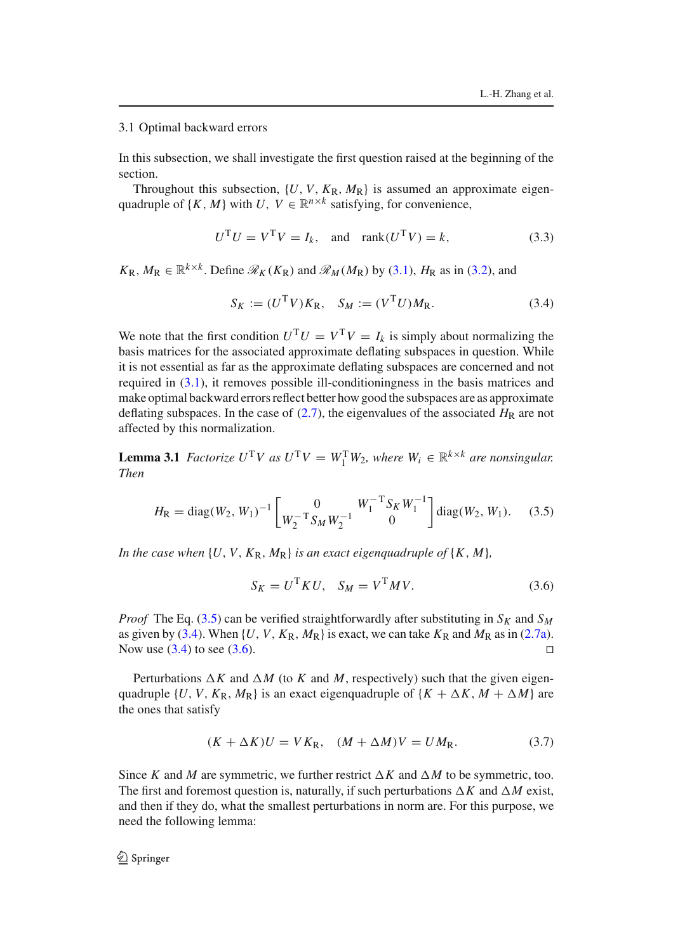#### 3.1 Optimal backward errors

In this subsection, we shall investigate the first question raised at the beginning of the section.

Throughout this subsection,  $\{U, V, K_{\mathbb{R}}, M_{\mathbb{R}}\}$  is assumed an approximate eigenquadruple of  $\{K, M\}$  with *U*,  $V \in \mathbb{R}^{n \times k}$  satisfying, for convenience,

$$
UTU = VTV = Ik, and rank(UTV) = k,
$$
\n(3.3)

 $K_R$ ,  $M_R \in \mathbb{R}^{k \times k}$ . Define  $\mathcal{R}_K(K_R)$  and  $\mathcal{R}_M(M_R)$  by (3.1),  $H_R$  as in (3.2), and

$$
S_K := (U^{\mathrm{T}} V) K_{\mathrm{R}}, \quad S_M := (V^{\mathrm{T}} U) M_{\mathrm{R}}.
$$
 (3.4)

We note that the first condition  $U^{T}U = V^{T}V = I_{k}$  is simply about normalizing the basis matrices for the associated approximate deflating subspaces in question. While it is not essential as far as the approximate deflating subspaces are concerned and not required in (3.1), it removes possible ill-conditioningness in the basis matrices and make optimal backward errors reflect better how good the subspaces are as approximate deflating subspaces. In the case of  $(2.7)$ , the eigenvalues of the associated  $H_R$  are not affected by this normalization.

**Lemma 3.1** *Factorize*  $U^T V$  *as*  $U^T V = W_1^T W_2$ *, where*  $W_i \in \mathbb{R}^{k \times k}$  *are nonsingular. Then*

$$
H_{\rm R} = \text{diag}(W_2, W_1)^{-1} \left[ \begin{array}{cc} 0 & W_1^{-T} S_K W_1^{-1} \\ W_2^{-T} S_M W_2^{-1} & 0 \end{array} \right] \text{diag}(W_2, W_1). \quad (3.5)
$$

*In the case when*  $\{U, V, K_R, M_R\}$  *is an exact eigenquadruple of*  $\{K, M\}$ *,* 

$$
S_K = U^{\mathrm{T}} K U, \quad S_M = V^{\mathrm{T}} M V. \tag{3.6}
$$

*Proof* The Eq. (3.5) can be verified straightforwardly after substituting in  $S_K$  and  $S_M$ as given by (3.4). When  $\{U, V, K_R, M_R\}$  is exact, we can take  $K_R$  and  $M_R$  as in (2.7a). Now use  $(3.4)$  to see  $(3.6)$ .

Perturbations  $\Delta K$  and  $\Delta M$  (to *K* and *M*, respectively) such that the given eigenquadruple {*U*, *V*,  $K_{\text{R}}$ ,  $M_{\text{R}}$ } is an exact eigenquadruple of { $K + \Delta K$ ,  $M + \Delta M$ } are the ones that satisfy

$$
(K + \Delta K)U = VKR, \quad (M + \Delta M)V = UMR.
$$
\n(3.7)

Since *K* and *M* are symmetric, we further restrict  $\Delta K$  and  $\Delta M$  to be symmetric, too. The first and foremost question is, naturally, if such perturbations  $\Delta K$  and  $\Delta M$  exist, and then if they do, what the smallest perturbations in norm are. For this purpose, we need the following lemma: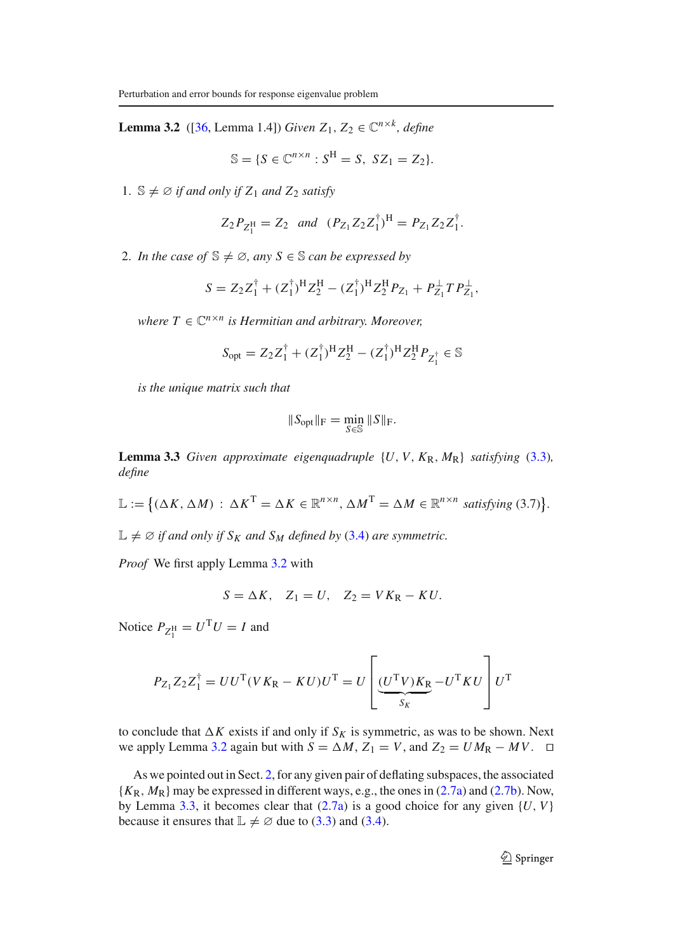**Lemma 3.2** ([36, Lemma 1.4]) *Given*  $Z_1, Z_2 \in \mathbb{C}^{n \times k}$ *, define* 

$$
\mathbb{S} = \{ S \in \mathbb{C}^{n \times n} : S^H = S, \ SZ_1 = Z_2 \}.
$$

1.  $\mathbb{S} \neq \emptyset$  *if and only if*  $Z_1$  *and*  $Z_2$  *satisfy* 

$$
Z_2 P_{Z_1^H} = Z_2
$$
 and  $(P_{Z_1} Z_2 Z_1^{\dagger})^H = P_{Z_1} Z_2 Z_1^{\dagger}$ .

2. *In the case of*  $\mathbb{S} \neq \emptyset$ , any  $S \in \mathbb{S}$  *can be expressed by* 

$$
S = Z_2 Z_1^{\dagger} + (Z_1^{\dagger})^{\mathrm{H}} Z_2^{\mathrm{H}} - (Z_1^{\dagger})^{\mathrm{H}} Z_2^{\mathrm{H}} P_{Z_1} + P_{Z_1}^{\perp} T P_{Z_1}^{\perp},
$$

*where*  $T \in \mathbb{C}^{n \times n}$  *is Hermitian and arbitrary. Moreover,* 

$$
S_{\text{opt}} = Z_2 Z_1^{\dagger} + (Z_1^{\dagger})^{\text{H}} Z_2^{\text{H}} - (Z_1^{\dagger})^{\text{H}} Z_2^{\text{H}} P_{Z_1^{\dagger}} \in \mathbb{S}
$$

*is the unique matrix such that*

$$
\|S_{\text{opt}}\|_{\mathcal{F}} = \min_{S \in \mathbb{S}} \|S\|_{\mathcal{F}}.
$$

**Lemma 3.3** *Given approximate eigenquadruple*  $\{U, V, K_R, M_R\}$  *satisfying* (3.3)*, define*

 $\mathbb{L} := \left\{ (\Delta K, \Delta M) : \Delta K^{T} = \Delta K \in \mathbb{R}^{n \times n}, \Delta M^{T} = \Delta M \in \mathbb{R}^{n \times n} \text{ satisfying (3.7)} \right\}.$ 

 $\mathbb{L} \neq \emptyset$  *if and only if*  $S_K$  *and*  $S_M$  *defined by* (3.4) *are symmetric.* 

*Proof* We first apply Lemma 3.2 with

$$
S = \Delta K, \quad Z_1 = U, \quad Z_2 = V K_{\mathcal{R}} - K U.
$$

Notice  $P_{Z_1^{\text{H}}} = U^{\text{T}}U = I$  and

$$
P_{Z_1}Z_2Z_1^{\dagger} = UU^{\mathrm{T}}(VK_{\mathrm{R}} - KU)U^{\mathrm{T}} = U\left[\underbrace{(U^{\mathrm{T}}V)K_{\mathrm{R}}}_{S_K} - U^{\mathrm{T}}KU\right]U^{\mathrm{T}}
$$

to conclude that  $\Delta K$  exists if and only if  $S_K$  is symmetric, as was to be shown. Next we apply Lemma 3.2 again but with  $S = \Delta M$ ,  $Z_1 = V$ , and  $Z_2 = U M_R - M V$ .  $\Box$ 

As we pointed out in Sect. 2, for any given pair of deflating subspaces, the associated {*K*R, *M*R} may be expressed in different ways, e.g., the ones in (2.7a) and (2.7b). Now, by Lemma 3.3, it becomes clear that  $(2.7a)$  is a good choice for any given  $\{U, V\}$ because it ensures that  $\mathbb{L} \neq \emptyset$  due to (3.3) and (3.4).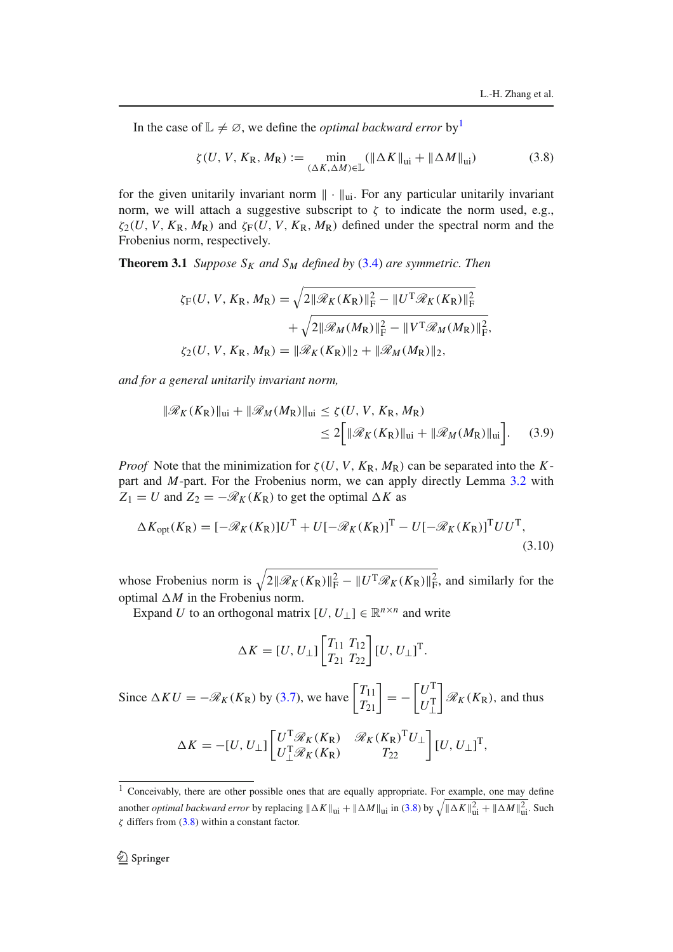In the case of  $\mathbb{L} \neq \emptyset$ , we define the *optimal backward error* by<sup>1</sup>

$$
\zeta(U, V, K_{\mathbb{R}}, M_{\mathbb{R}}) := \min_{(\Delta K, \Delta M) \in \mathbb{L}} (\|\Delta K\|_{\mathfrak{u}i} + \|\Delta M\|_{\mathfrak{u}i})
$$
(3.8)

for the given unitarily invariant norm ∥ · ∥ui. For any particular unitarily invariant norm, we will attach a suggestive subscript to  $\zeta$  to indicate the norm used, e.g.,  $\zeta_2(U, V, K_R, M_R)$  and  $\zeta_F(U, V, K_R, M_R)$  defined under the spectral norm and the Frobenius norm, respectively.

**Theorem 3.1** *Suppose*  $S_K$  *and*  $S_M$  *defined by* (3.4) *are symmetric. Then* 

$$
\zeta_{F}(U, V, K_{R}, M_{R}) = \sqrt{2||\mathcal{R}_{K}(K_{R})||_{F}^{2} - ||U^{T}\mathcal{R}_{K}(K_{R})||_{F}^{2}} + \sqrt{2||\mathcal{R}_{M}(M_{R})||_{F}^{2} - ||V^{T}\mathcal{R}_{M}(M_{R})||_{F}^{2}},
$$
  

$$
\zeta_{2}(U, V, K_{R}, M_{R}) = ||\mathcal{R}_{K}(K_{R})||_{2} + ||\mathcal{R}_{M}(M_{R})||_{2},
$$

*and for a general unitarily invariant norm,*

$$
\|\mathcal{R}_K(K_{\rm R})\|_{\rm ui} + \|\mathcal{R}_M(M_{\rm R})\|_{\rm ui} \le \zeta(U, V, K_{\rm R}, M_{\rm R})
$$
  

$$
\le 2\Big[\|\mathcal{R}_K(K_{\rm R})\|_{\rm ui} + \|\mathcal{R}_M(M_{\rm R})\|_{\rm ui}\Big].
$$
 (3.9)

*Proof* Note that the minimization for  $\zeta(U, V, K_R, M_R)$  can be separated into the *K*part and *M*-part. For the Frobenius norm, we can apply directly Lemma 3.2 with  $Z_1 = U$  and  $Z_2 = -\mathcal{R}_K(K_R)$  to get the optimal  $\Delta K$  as

$$
\Delta K_{\rm opt}(K_{\rm R}) = \left[ -\mathcal{R}_K(K_{\rm R}) \right] U^{\rm T} + U \left[ -\mathcal{R}_K(K_{\rm R}) \right]^{\rm T} - U \left[ -\mathcal{R}_K(K_{\rm R}) \right]^{\rm T} U U^{\rm T},\tag{3.10}
$$

whose Frobenius norm is  $\sqrt{2||\mathcal{R}_K(K_R)||_F^2 - ||U^T\mathcal{R}_K(K_R)||_F^2}$ , and similarly for the optimal  $\Delta M$  in the Frobenius norm.

Expand *U* to an orthogonal matrix  $[U, U_{\perp}] \in \mathbb{R}^{n \times n}$  and write

$$
\Delta K = [U, U_{\perp}] \begin{bmatrix} T_{11} & T_{12} \\ T_{21} & T_{22} \end{bmatrix} [U, U_{\perp}]^{\mathrm{T}}.
$$

Since  $\Delta K U = -\mathcal{R}_K(K_R)$  by (3.7), we have  $\begin{bmatrix} T_{11} \\ T_{21} \end{bmatrix} = \lceil U^{\text{T}} \rceil$  $U_{\perp}^{\mathrm{T}}$ 1  $\mathcal{R}_K(K_{\rm R})$ , and thus

$$
\Delta K = -[U, U_{\perp}]\begin{bmatrix} U^{\mathrm{T}}\mathcal{R}_K(K_{\mathrm{R}}) & \mathcal{R}_K(K_{\mathrm{R}})^{\mathrm{T}}U_{\perp} \\ U_{\perp}^{\mathrm{T}}\mathcal{R}_K(K_{\mathrm{R}}) & T_{22} \end{bmatrix} [U, U_{\perp}]^{\mathrm{T}},
$$

 $\frac{1}{1}$  Conceivably, there are other possible ones that are equally appropriate. For example, one may define another *optimal backward error* by replacing  $||\Delta K||_{\text{ui}} + ||\Delta M||_{\text{ui}}$  in (3.8) by  $\sqrt{||\Delta K||_{\text{ui}}^2 + ||\Delta M||_{\text{ui}}^2}$ . Such ζ differs from (3.8) within a constant factor.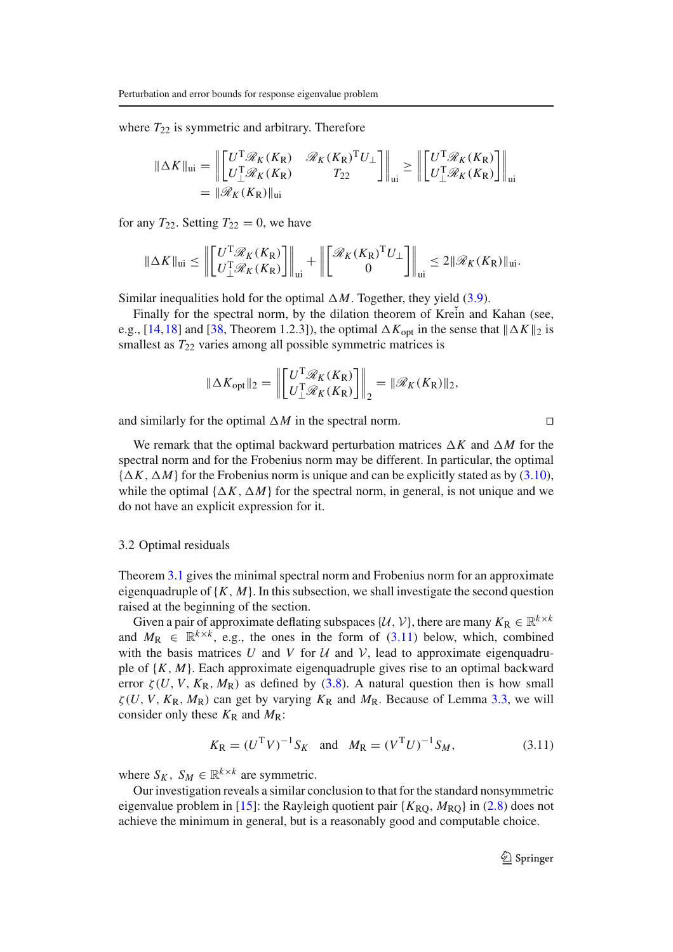where  $T_{22}$  is symmetric and arbitrary. Therefore

$$
\|\Delta K\|_{\text{ui}} = \left\| \begin{bmatrix} U^{\text{T}} \mathcal{R}_K(K_{\text{R}}) & \mathcal{R}_K(K_{\text{R}})^{\text{T}} U_{\perp} \\ U_{\perp}^{\text{T}} \mathcal{R}_K(K_{\text{R}}) & T_{22} \end{bmatrix} \right\|_{\text{ui}} \ge \left\| \begin{bmatrix} U^{\text{T}} \mathcal{R}_K(K_{\text{R}}) \\ U_{\perp}^{\text{T}} \mathcal{R}_K(K_{\text{R}}) \end{bmatrix} \right\|_{\text{ui}}
$$

$$
= \|\mathcal{R}_K(K_{\text{R}})\|_{\text{ui}}
$$

for any  $T_{22}$ . Setting  $T_{22} = 0$ , we have

$$
\|\Delta K\|_{\text{ui}} \le \left\| \begin{bmatrix} U^{\text{T}} \mathcal{R}_K(K_{\text{R}}) \\ U_{\perp}^{\text{T}} \mathcal{R}_K(K_{\text{R}}) \end{bmatrix} \right\|_{\text{ui}} + \left\| \begin{bmatrix} \mathcal{R}_K(K_{\text{R}})^{\text{T}} U_{\perp} \\ 0 \end{bmatrix} \right\|_{\text{ui}} \le 2 \|\mathcal{R}_K(K_{\text{R}})\|_{\text{ui}}.
$$

Similar inequalities hold for the optimal  $\Delta M$ . Together, they yield (3.9).

Finally for the spectral norm, by the dilation theorem of Krein and Kahan (see, e.g., [14,18] and [38, Theorem 1.2.3]), the optimal  $\Delta K_{\text{opt}}$  in the sense that  $\|\Delta K\|_2$  is smallest as  $T_{22}$  varies among all possible symmetric matrices is

$$
\|\Delta K_{\text{opt}}\|_2 = \left\| \begin{bmatrix} U^{\text{T}} \mathcal{R}_K(K_{\text{R}}) \\ U_{\perp}^{\text{T}} \mathcal{R}_K(K_{\text{R}}) \end{bmatrix} \right\|_2 = \|\mathcal{R}_K(K_{\text{R}})\|_2,
$$

and similarly for the optimal  $\Delta M$  in the spectral norm. □

We remark that the optimal backward perturbation matrices  $\Delta K$  and  $\Delta M$  for the spectral norm and for the Frobenius norm may be different. In particular, the optimal  ${\{\Delta K, \Delta M\}}$  for the Frobenius norm is unique and can be explicitly stated as by (3.10), while the optimal  $\{\Delta K, \Delta M\}$  for the spectral norm, in general, is not unique and we do not have an explicit expression for it.

#### 3.2 Optimal residuals

Theorem 3.1 gives the minimal spectral norm and Frobenius norm for an approximate eigenquadruple of  ${K, M}$ . In this subsection, we shall investigate the second question raised at the beginning of the section.

Given a pair of approximate deflating subspaces  $\{U, V\}$ , there are many  $K_R \in \mathbb{R}^{k \times k}$ and  $M_R \in \mathbb{R}^{k \times k}$ , e.g., the ones in the form of (3.11) below, which, combined with the basis matrices U and V for  $U$  and V, lead to approximate eigenquadruple of  $\{K, M\}$ . Each approximate eigenquadruple gives rise to an optimal backward error  $\zeta(U, V, K_{\rm R}, M_{\rm R})$  as defined by (3.8). A natural question then is how small  $\zeta(U, V, K_{\rm R}, M_{\rm R})$  can get by varying  $K_{\rm R}$  and  $M_{\rm R}$ . Because of Lemma 3.3, we will consider only these  $K_R$  and  $M_R$ :

$$
K_{\rm R} = (U^{\rm T}V)^{-1}S_K
$$
 and  $M_{\rm R} = (V^{\rm T}U)^{-1}S_M$ , (3.11)

where  $S_K$ ,  $S_M \in \mathbb{R}^{k \times k}$  are symmetric.

Our investigation reveals a similar conclusion to that for the standard nonsymmetric eigenvalue problem in [15]: the Rayleigh quotient pair  $\{K_{\text{RO}}, M_{\text{RO}}\}$  in (2.8) does not achieve the minimum in general, but is a reasonably good and computable choice.

 $\bigcirc$  Springer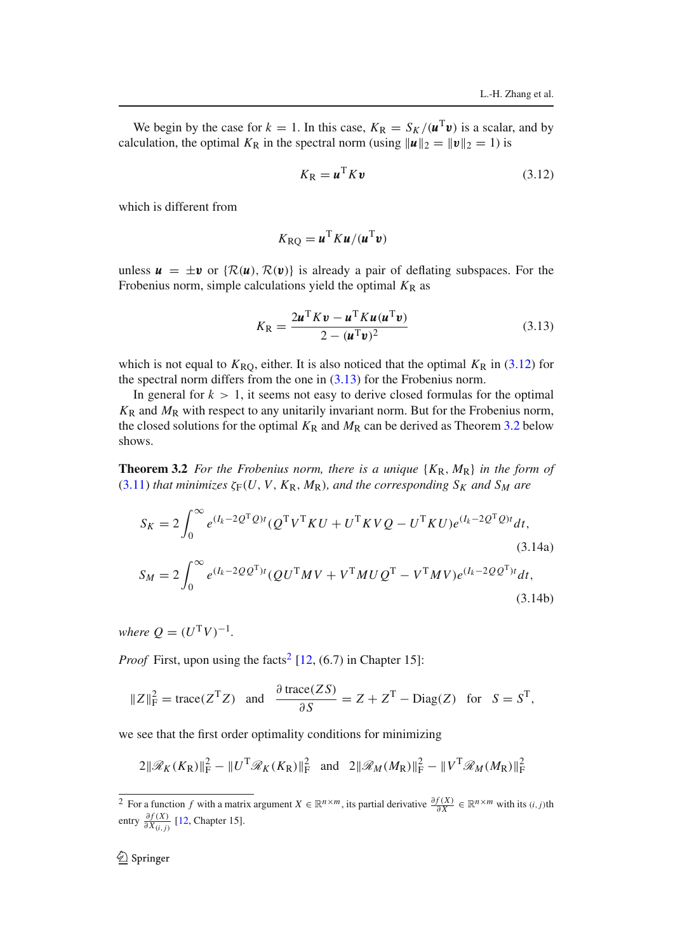(3.14b)

We begin by the case for  $k = 1$ . In this case,  $K_R = S_K/(\mathbf{u}^T \mathbf{v})$  is a scalar, and by calculation, the optimal  $K_R$  in the spectral norm (using  $||\boldsymbol{u}||_2 = ||\boldsymbol{v}||_2 = 1$ ) is

$$
K_{\rm R} = \boldsymbol{u}^{\rm T} K \boldsymbol{v} \tag{3.12}
$$

which is different from

$$
K_{\rm RQ} = \boldsymbol{u}^{\rm T} K \boldsymbol{u} / (\boldsymbol{u}^{\rm T} \boldsymbol{v})
$$

unless  $u = \pm v$  or  $\{R(u), R(v)\}$  is already a pair of deflating subspaces. For the Frobenius norm, simple calculations yield the optimal  $K_R$  as

$$
K_{\rm R} = \frac{2\boldsymbol{u}^{\rm T} K \boldsymbol{v} - \boldsymbol{u}^{\rm T} K \boldsymbol{u} (\boldsymbol{u}^{\rm T} \boldsymbol{v})}{2 - (\boldsymbol{u}^{\rm T} \boldsymbol{v})^2}
$$
(3.13)

which is not equal to  $K_{\rm RQ}$ , either. It is also noticed that the optimal  $K_{\rm R}$  in (3.12) for the spectral norm differs from the one in  $(3.13)$  for the Frobenius norm.

In general for  $k > 1$ , it seems not easy to derive closed formulas for the optimal *K*<sup>R</sup> and *M*<sup>R</sup> with respect to any unitarily invariant norm. But for the Frobenius norm, the closed solutions for the optimal  $K_R$  and  $M_R$  can be derived as Theorem 3.2 below shows.

**Theorem 3.2** For the Frobenius norm, there is a unique  $\{K_R, M_R\}$  in the form of  $(3.11)$  *that minimizes*  $\zeta_F(U, V, K_R, M_R)$ *, and the corresponding*  $S_K$  *and*  $S_M$  *are* 

$$
S_K = 2 \int_0^\infty e^{(I_k - 2Q^T Q)t} (Q^T V^T K U + U^T K V Q - U^T K U) e^{(I_k - 2Q^T Q)t} dt,
$$
\n(3.14a)  
\n
$$
S_M = 2 \int_0^\infty e^{(I_k - 2QQ^T)t} (QU^T M V + V^T M U Q^T - V^T M V) e^{(I_k - 2QQ^T)t} dt,
$$

*where*  $Q = (U^T V)^{-1}$ *.* 

*Proof* First, upon using the facts<sup>2</sup> [12,  $(6.7)$  in Chapter 15]:

$$
||Z||_F^2 = \text{trace}(Z^T Z)
$$
 and  $\frac{\partial \text{trace}(ZS)}{\partial S} = Z + Z^T - \text{Diag}(Z)$  for  $S = S^T$ ,

we see that the first order optimality conditions for minimizing

$$
2\|\mathcal{R}_K(K_{\mathsf{R}})\|_{\mathsf{F}}^2 - \|U^{\mathsf{T}}\mathcal{R}_K(K_{\mathsf{R}})\|_{\mathsf{F}}^2 \quad \text{and} \quad 2\|\mathcal{R}_M(M_{\mathsf{R}})\|_{\mathsf{F}}^2 - \|V^{\mathsf{T}}\mathcal{R}_M(M_{\mathsf{R}})\|_{\mathsf{F}}^2
$$

<sup>&</sup>lt;sup>2</sup> For a function *f* with a matrix argument  $X \in \mathbb{R}^{n \times m}$ , its partial derivative  $\frac{\partial f(X)}{\partial X} \in \mathbb{R}^{n \times m}$  with its  $(i, j)$ th entry  $\frac{\partial f(X)}{\partial X_{(i,j)}}$  [12, Chapter 15].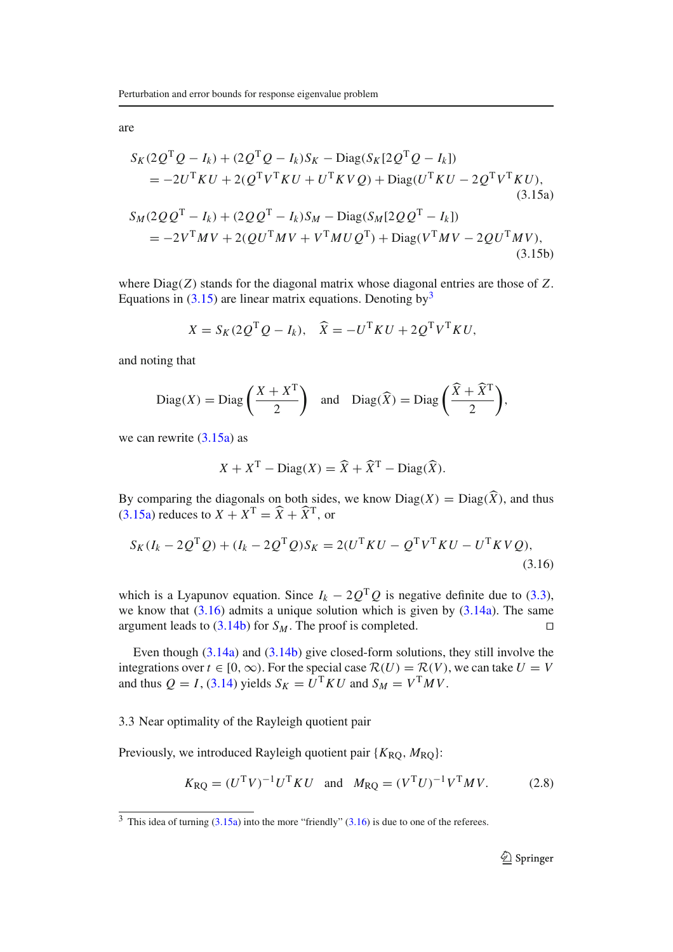are

$$
S_K(2Q^TQ - I_k) + (2Q^TQ - I_k)S_K - \text{Diag}(S_K[2Q^TQ - I_k])
$$
  
=  $-2U^TKU + 2(Q^TV^TKU + U^TKVQ) + \text{Diag}(U^TKU - 2Q^TV^TKU),$   
(3.15a)  

$$
S_M(2QQ^T - I_k) + (2QQ^T - I_k)S_M - \text{Diag}(S_M[2QQ^T - I_k])
$$
  
=  $-2V^TMV + 2(QU^TMV + V^TMUQ^T) + \text{Diag}(V^TMV - 2QU^TMV),$   
(3.15b)

where Diag(*Z*) stands for the diagonal matrix whose diagonal entries are those of *Z*. Equations in  $(3.15)$  are linear matrix equations. Denoting by  $3$ 

$$
X = S_K(2Q^{\mathrm{T}}Q - I_k), \quad \widehat{X} = -U^{\mathrm{T}}KU + 2Q^{\mathrm{T}}V^{\mathrm{T}}KU,
$$

and noting that

$$
\text{Diag}(X) = \text{Diag}\left(\frac{X + X^{T}}{2}\right) \text{ and } \text{Diag}(\widehat{X}) = \text{Diag}\left(\frac{\widehat{X} + \widehat{X}^{T}}{2}\right),
$$

we can rewrite  $(3.15a)$  as

$$
X + X^{T} - \text{Diag}(X) = \widehat{X} + \widehat{X}^{T} - \text{Diag}(\widehat{X}).
$$

By comparing the diagonals on both sides, we know  $Diag(X) = Diag(\widehat{X})$ , and thus  $(3.15a)$  reduces to  $X + X^{T} = \hat{X} + \hat{X}^{T}$ , or

$$
S_K(I_k - 2Q^{\mathrm{T}}Q) + (I_k - 2Q^{\mathrm{T}}Q)S_K = 2(U^{\mathrm{T}}KU - Q^{\mathrm{T}}V^{\mathrm{T}}KU - U^{\mathrm{T}}KVQ),
$$
\n(3.16)

which is a Lyapunov equation. Since  $I_k - 2Q^TQ$  is negative definite due to (3.3), we know that  $(3.16)$  admits a unique solution which is given by  $(3.14a)$ . The same argument leads to  $(3.14b)$  for *S<sub>M</sub>*. The proof is completed.  $□$ 

Even though (3.14a) and (3.14b) give closed-form solutions, they still involve the integrations over  $t \in [0, \infty)$ . For the special case  $\mathcal{R}(U) = \mathcal{R}(V)$ , we can take  $U = V$ and thus  $Q = I$ , (3.14) yields  $S_K = U^T K U$  and  $S_M = V^T M V$ .

#### 3.3 Near optimality of the Rayleigh quotient pair

Previously, we introduced Rayleigh quotient pair { $K_{\text{RO}}$ ,  $M_{\text{RO}}$ }:

$$
K_{\rm RQ} = (U^{\rm T}V)^{-1}U^{\rm T}KU
$$
 and  $M_{\rm RQ} = (V^{\rm T}U)^{-1}V^{\rm T}MV.$  (2.8)

 $3$  This idea of turning (3.15a) into the more "friendly" (3.16) is due to one of the referees.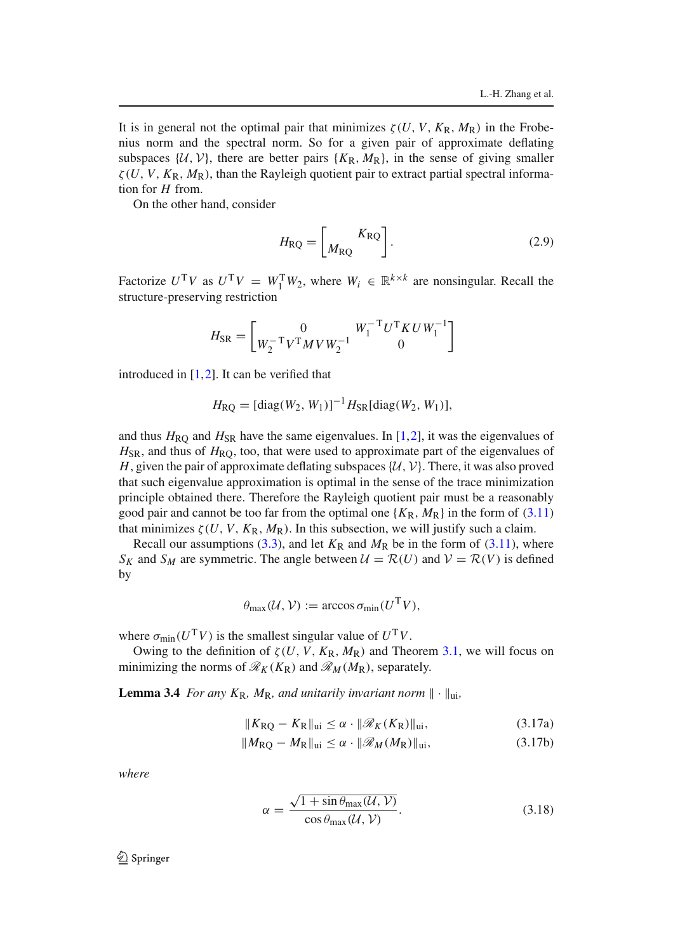It is in general not the optimal pair that minimizes  $\zeta(U, V, K_{\rm R}, M_{\rm R})$  in the Frobenius norm and the spectral norm. So for a given pair of approximate deflating subspaces  $\{U, V\}$ , there are better pairs  $\{K_R, M_R\}$ , in the sense of giving smaller  $\zeta(U, V, K_{\rm R}, M_{\rm R})$ , than the Rayleigh quotient pair to extract partial spectral information for *H* from.

On the other hand, consider

$$
H_{\rm RQ} = \left[ \frac{K_{\rm RQ}}{M_{\rm RQ}} \right]. \tag{2.9}
$$

Factorize  $U^T V$  as  $U^T V = W_1^T W_2$ , where  $W_i \in \mathbb{R}^{k \times k}$  are nonsingular. Recall the structure-preserving restriction

$$
H_{\rm SR} = \left[ \begin{matrix} 0 & W_1^{-\rm T} U^{\rm T} K U W_1^{-1} \\ W_2^{-\rm T} V^{\rm T} M V W_2^{-1} & 0 \end{matrix} \right]
$$

introduced in [1,2]. It can be verified that

$$
H_{\rm RQ} = \left[ \text{diag}(W_2, W_1) \right]^{-1} H_{\rm SR}[\text{diag}(W_2, W_1)],
$$

and thus  $H_{\rm RQ}$  and  $H_{\rm SR}$  have the same eigenvalues. In [1,2], it was the eigenvalues of  $H_{\rm SR}$ , and thus of  $H_{\rm RO}$ , too, that were used to approximate part of the eigenvalues of *H*, given the pair of approximate deflating subspaces  $\{\mathcal{U}, \mathcal{V}\}$ . There, it was also proved that such eigenvalue approximation is optimal in the sense of the trace minimization principle obtained there. Therefore the Rayleigh quotient pair must be a reasonably good pair and cannot be too far from the optimal one  $\{K_R, M_R\}$  in the form of (3.11) that minimizes  $\zeta(U, V, K_{\mathbb{R}}, M_{\mathbb{R}})$ . In this subsection, we will justify such a claim.

Recall our assumptions (3.3), and let  $K_R$  and  $M_R$  be in the form of (3.11), where *S<sub>K</sub>* and *S<sub>M</sub>* are symmetric. The angle between  $\mathcal{U} = \mathcal{R}(U)$  and  $\mathcal{V} = \mathcal{R}(V)$  is defined by

$$
\theta_{\max}(\mathcal{U}, \mathcal{V}) := \arccos \sigma_{\min}(U^{\mathrm{T}}V),
$$

where  $\sigma_{\text{min}}(U^T V)$  is the smallest singular value of  $U^T V$ .

Owing to the definition of  $\zeta(U, V, K_{\mathbb{R}}, M_{\mathbb{R}})$  and Theorem 3.1, we will focus on minimizing the norms of  $\mathcal{R}_K(K_R)$  and  $\mathcal{R}_M(M_R)$ , separately.

**Lemma 3.4** *For any*  $K_R$ *, M<sub>R</sub>, and unitarily invariant norm*  $\|\cdot\|_{\text{ui}}$ *,* 

$$
||K_{\rm RQ} - K_{\rm R}||_{\rm ui} \le \alpha \cdot ||\mathcal{R}_K(K_{\rm R})||_{\rm ui},\tag{3.17a}
$$

$$
||M_{\rm RQ} - M_{\rm R}||_{\rm ui} \le \alpha \cdot ||\mathcal{R}_M(M_{\rm R})||_{\rm ui},\tag{3.17b}
$$

*where*

$$
\alpha = \frac{\sqrt{1 + \sin \theta_{\text{max}}(U, V)}}{\cos \theta_{\text{max}}(U, V)}.
$$
\n(3.18)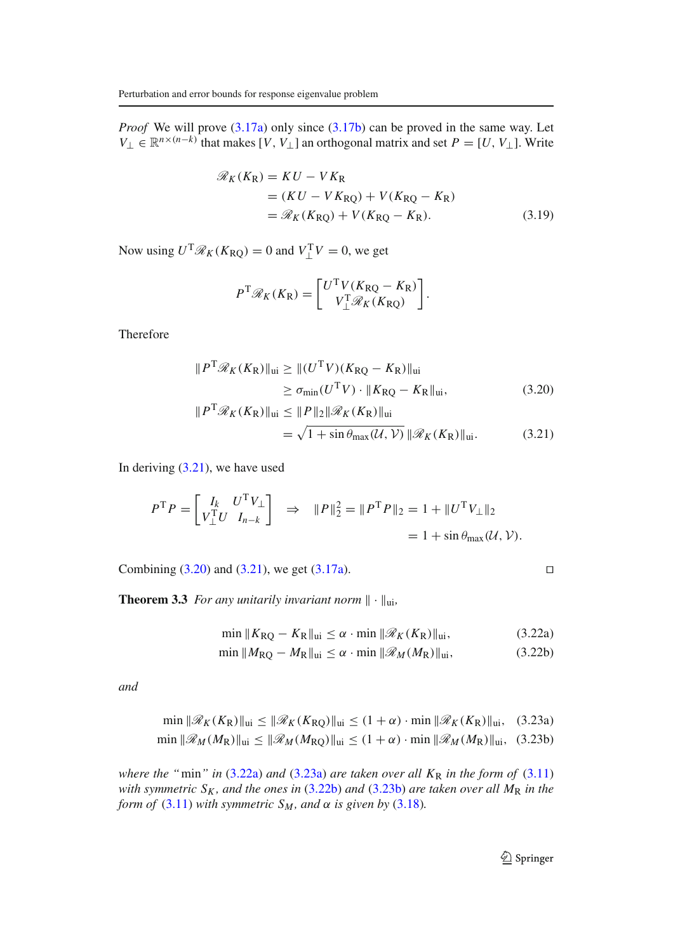*Proof* We will prove (3.17a) only since (3.17b) can be proved in the same way. Let  $V_{\perp} \in \mathbb{R}^{n \times (n-k)}$  that makes [*V*, *V*<sub>⊥</sub>] an orthogonal matrix and set *P* = [*U*, *V*<sub>⊥</sub>]. Write

$$
\mathcal{R}_K(K_R) = KU - VK_R
$$
  
=  $(KU - VK_{RQ}) + V(K_{RQ} - K_R)$   
=  $\mathcal{R}_K(K_{RQ}) + V(K_{RQ} - K_R)$ . (3.19)

Now using  $U^T \mathcal{R}_K(K_{\rm RQ}) = 0$  and  $V^T \perp V = 0$ , we get

$$
P^{\mathrm{T}}\mathcal{R}_K(K_{\mathrm{R}}) = \begin{bmatrix} U^{\mathrm{T}}V(K_{\mathrm{RQ}} - K_{\mathrm{R}}) \\ V_{\perp}^{\mathrm{T}}\mathcal{R}_K(K_{\mathrm{RQ}}) \end{bmatrix}.
$$

Therefore

$$
||PT\mathcal{R}_{K}(K_{R})||_{\text{ui}} \ge ||(UTV)(K_{RQ} - K_{R})||_{\text{ui}}
$$
  
\n
$$
\ge \sigma_{\min}(UTV) \cdot ||K_{RQ} - K_{R}||_{\text{ui}},
$$
\n(3.20)

$$
||P^{\mathrm{T}}\mathcal{R}_K(K_{\mathrm{R}})||_{\mathrm{ui}} \le ||P||_2 \|\mathcal{R}_K(K_{\mathrm{R}})||_{\mathrm{ui}}
$$
  
=  $\sqrt{1 + \sin \theta_{\mathrm{max}}(\mathcal{U}, \mathcal{V})} \|\mathcal{R}_K(K_{\mathrm{R}})||_{\mathrm{ui}}.$  (3.21)

In deriving  $(3.21)$ , we have used

$$
P^{\mathrm{T}}P = \begin{bmatrix} I_k & U^{\mathrm{T}}V_{\perp} \\ V_{\perp}^{\mathrm{T}}U & I_{n-k} \end{bmatrix} \Rightarrow \|P\|_2^2 = \|P^{\mathrm{T}}P\|_2 = 1 + \|U^{\mathrm{T}}V_{\perp}\|_2
$$
  
= 1 + \sin \theta\_{\text{max}}(\mathcal{U}, \mathcal{V}).

Combining  $(3.20)$  and  $(3.21)$ , we get  $(3.17a)$ . □

**Theorem 3.3** *For any unitarily invariant norm*  $\|\cdot\|_{\text{ui}}$ *,* 

$$
\min \|K_{\rm RQ} - K_{\rm R}\|_{\rm ui} \le \alpha \cdot \min \| \mathcal{R}_K(K_{\rm R}) \|_{\rm ui},\tag{3.22a}
$$

$$
\min \|M_{\rm RQ} - M_{\rm R}\|_{\rm ui} \le \alpha \cdot \min \|M_M(M_{\rm R})\|_{\rm ui},\tag{3.22b}
$$

*and*

$$
\min \|\mathcal{R}_K(K_R)\|_{\text{ui}} \le \|\mathcal{R}_K(K_{RQ})\|_{\text{ui}} \le (1+\alpha) \cdot \min \|\mathcal{R}_K(K_R)\|_{\text{ui}}, \quad (3.23a)
$$
  

$$
\min \|\mathcal{R}_M(M_R)\|_{\text{ui}} \le \|\mathcal{R}_M(M_{RQ})\|_{\text{ui}} \le (1+\alpha) \cdot \min \|\mathcal{R}_M(M_R)\|_{\text{ui}}, \quad (3.23b)
$$

*where the "*min" *in* (3.22a) *and* (3.23a) *are taken over all*  $K_R$  *in the form of* (3.11) *with symmetric SK , and the ones in* (3.22b) *and* (3.23b) *are taken over all M*<sup>R</sup> *in the form of* (3.11) *with symmetric*  $S_M$ *, and*  $\alpha$  *is given by* (3.18)*.*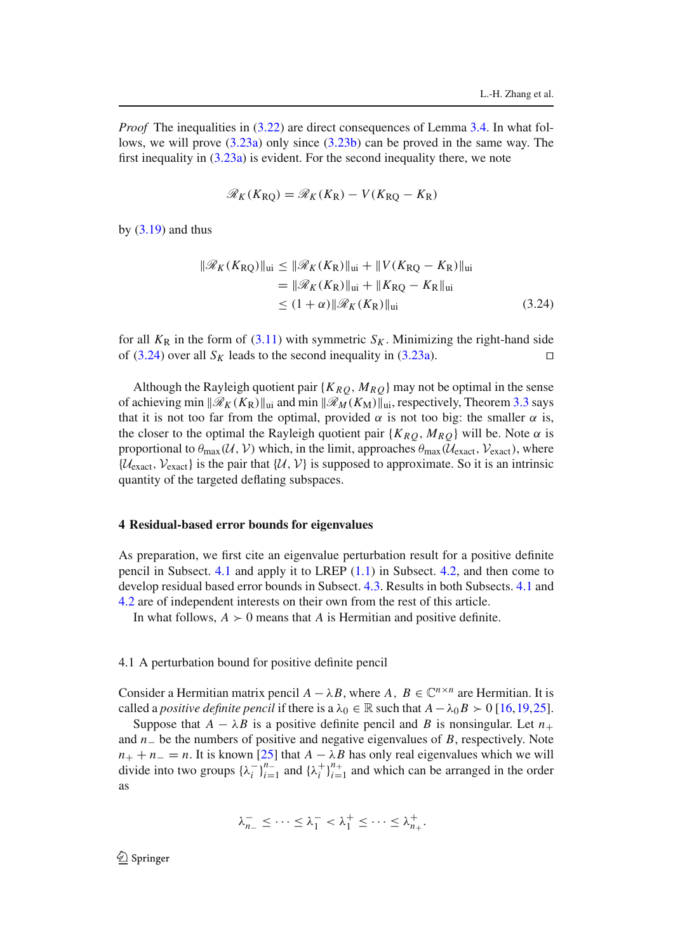*Proof* The inequalities in (3.22) are direct consequences of Lemma 3.4. In what follows, we will prove (3.23a) only since (3.23b) can be proved in the same way. The first inequality in (3.23a) is evident. For the second inequality there, we note

$$
\mathcal{R}_K(K_{\rm RQ}) = \mathcal{R}_K(K_{\rm R}) - V(K_{\rm RQ} - K_{\rm R})
$$

by  $(3.19)$  and thus

$$
\|\mathcal{R}_{K}(K_{\rm RQ})\|_{\rm ui} \leq \|\mathcal{R}_{K}(K_{\rm R})\|_{\rm ui} + \|V(K_{\rm RQ} - K_{\rm R})\|_{\rm ui}
$$
  
\n
$$
= \|\mathcal{R}_{K}(K_{\rm R})\|_{\rm ui} + \|K_{\rm RQ} - K_{\rm R}\|_{\rm ui}
$$
  
\n
$$
\leq (1 + \alpha) \|\mathcal{R}_{K}(K_{\rm R})\|_{\rm ui}
$$
\n(3.24)

for all  $K_R$  in the form of (3.11) with symmetric  $S_K$ . Minimizing the right-hand side of (3.24) over all *S<sub>K</sub>* leads to the second inequality in (3.23a). □

Although the Rayleigh quotient pair  ${K_{RQ}, M_{RQ}}$  may not be optimal in the sense of achieving min ∥R*<sup>K</sup>* (*K*R)∥ui and min ∥R*<sup>M</sup>* (*K*M)∥ui, respectively, Theorem 3.3 says that it is not too far from the optimal, provided  $\alpha$  is not too big: the smaller  $\alpha$  is, the closer to the optimal the Rayleigh quotient pair  $\{K_{RQ}, M_{RQ}\}\$  will be. Note  $\alpha$  is proportional to  $\theta_{\text{max}}(\mathcal{U}, \mathcal{V})$  which, in the limit, approaches  $\theta_{\text{max}}(\mathcal{U}_{\text{exact}}, \mathcal{V}_{\text{exact}})$ , where  $\{U_{\text{exact}}, V_{\text{exact}}\}$  is the pair that  $\{U, V\}$  is supposed to approximate. So it is an intrinsic quantity of the targeted deflating subspaces.

#### **4 Residual-based error bounds for eigenvalues**

As preparation, we first cite an eigenvalue perturbation result for a positive definite pencil in Subsect. 4.1 and apply it to LREP (1.1) in Subsect. 4.2, and then come to develop residual based error bounds in Subsect. 4.3. Results in both Subsects. 4.1 and 4.2 are of independent interests on their own from the rest of this article.

In what follows,  $A > 0$  means that *A* is Hermitian and positive definite.

#### 4.1 A perturbation bound for positive definite pencil

Consider a Hermitian matrix pencil  $A - \lambda B$ , where  $A, B \in \mathbb{C}^{n \times n}$  are Hermitian. It is called a *positive definite pencil* if there is a  $\lambda_0 \in \mathbb{R}$  such that  $A - \lambda_0 B > 0$  [16,19,25].

Suppose that  $A - \lambda B$  is a positive definite pencil and *B* is nonsingular. Let  $n_+$ and *n*<sup>−</sup> be the numbers of positive and negative eigenvalues of *B*, respectively. Note  $n_+ + n_- = n$ . It is known [25] that  $A - \lambda B$  has only real eigenvalues which we will divide into two groups  $\{\lambda_i^-\}_{i=1}^{n-}$  and  $\{\lambda_i^+\}_{i=1}^{n+}$  and which can be arranged in the order as

$$
\lambda_{n_-}^- \leq \cdots \leq \lambda_1^- < \lambda_1^+ \leq \cdots \leq \lambda_{n_+}^+.
$$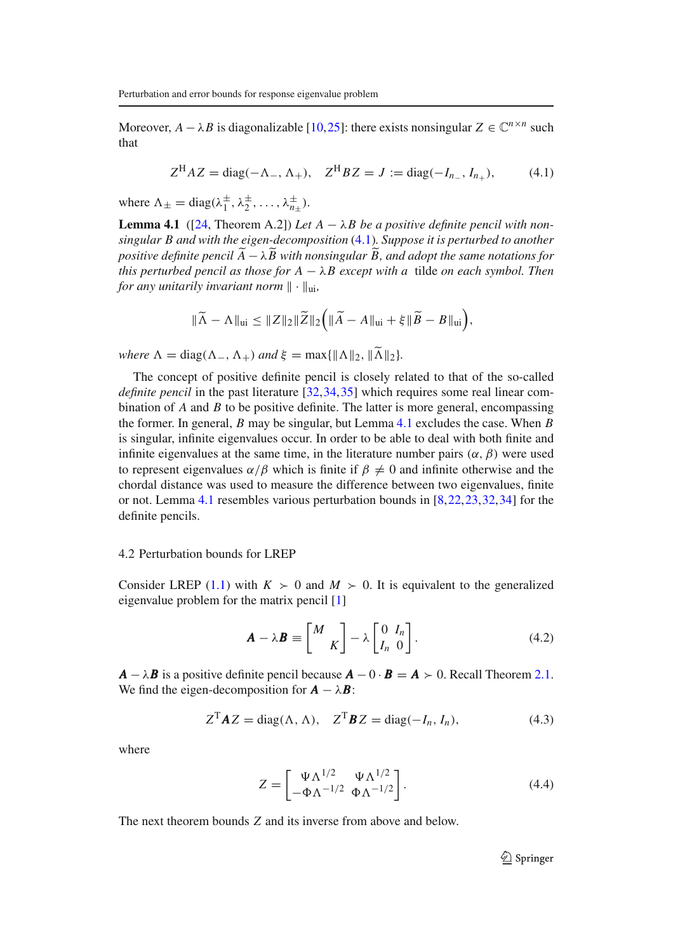Moreover,  $A - \lambda B$  is diagonalizable [10,25]: there exists nonsingular  $Z \in \mathbb{C}^{n \times n}$  such that

$$
Z^{H} A Z = \text{diag}(-\Lambda_{-}, \Lambda_{+}), \quad Z^{H} B Z = J := \text{diag}(-I_{n_{-}}, I_{n_{+}}), \tag{4.1}
$$

where  $\Lambda_{\pm} = \text{diag}(\lambda_1^{\pm}, \lambda_2^{\pm}, \dots, \lambda_{n_{\pm}}^{\pm}).$ 

**Lemma 4.1** ([24, Theorem A.2]) *Let*  $A - \lambda B$  *be a positive definite pencil with nonsingular B and with the eigen-decomposition* (4.1)*. Suppose it is perturbed to another positive definite pencil A* 8− λ8*B with nonsingular* 8*B, and adopt the same notations for this perturbed pencil as those for*  $A - \lambda B$  *except with a* tilde *on each symbol. Then for any unitarily invariant norm* ∥ · ∥ui*,*

$$
\|\widetilde{\Lambda}-\Lambda\|_{\text{ui}}\leq\|Z\|_2\|\widetilde{Z}\|_2\Big(\|\widetilde{A}-A\|_{\text{ui}}+\xi\|\widetilde{B}-B\|_{\text{ui}}\Big),
$$

*where*  $\Lambda = \text{diag}(\Lambda_-, \Lambda_+)$  *and*  $\xi = \max\{||\Lambda||_2, ||\widetilde{\Lambda}||_2\}.$ 

The concept of positive definite pencil is closely related to that of the so-called *definite pencil* in the past literature [32,34,35] which requires some real linear combination of *A* and *B* to be positive definite. The latter is more general, encompassing the former. In general, *B* may be singular, but Lemma 4.1 excludes the case. When *B* is singular, infinite eigenvalues occur. In order to be able to deal with both finite and infinite eigenvalues at the same time, in the literature number pairs  $(\alpha, \beta)$  were used to represent eigenvalues  $\alpha/\beta$  which is finite if  $\beta \neq 0$  and infinite otherwise and the chordal distance was used to measure the difference between two eigenvalues, finite or not. Lemma 4.1 resembles various perturbation bounds in [8,22,23,32,34] for the definite pencils.

#### 4.2 Perturbation bounds for LREP

Consider LREP (1.1) with  $K > 0$  and  $M > 0$ . It is equivalent to the generalized eigenvalue problem for the matrix pencil [1]

$$
\mathbf{A} - \lambda \mathbf{B} \equiv \begin{bmatrix} M \\ K \end{bmatrix} - \lambda \begin{bmatrix} 0 & I_n \\ I_n & 0 \end{bmatrix}.
$$
 (4.2)

 $A - \lambda B$  is a positive definite pencil because  $A - 0 \cdot B = A > 0$ . Recall Theorem 2.1. We find the eigen-decomposition for  $\mathbf{A} - \lambda \mathbf{B}$ :

$$
Z^{\mathrm{T}} \mathbf{A} Z = \mathrm{diag}(\Lambda, \Lambda), \quad Z^{\mathrm{T}} \mathbf{B} Z = \mathrm{diag}(-I_n, I_n), \tag{4.3}
$$

where

$$
Z = \begin{bmatrix} \Psi \Lambda^{1/2} & \Psi \Lambda^{1/2} \\ -\Phi \Lambda^{-1/2} & \Phi \Lambda^{-1/2} \end{bmatrix}.
$$
 (4.4)

The next theorem bounds *Z* and its inverse from above and below.

 $\bigcirc$  Springer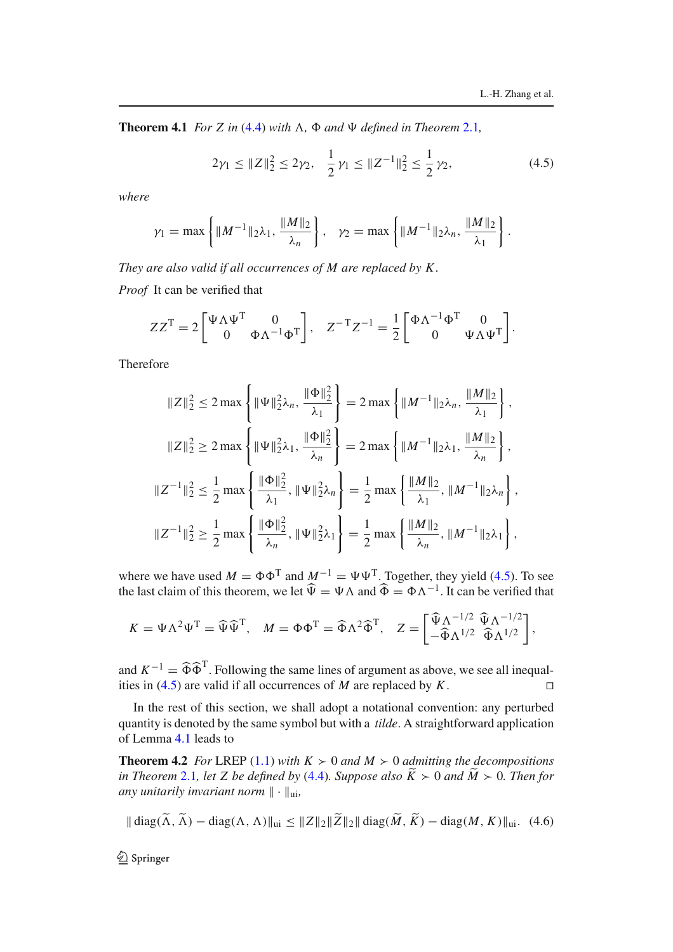**Theorem 4.1** *For Z in* (4.4) *with*  $\Lambda$ *,*  $\Phi$  *and*  $\Psi$  *defined in Theorem 2.1,* 

$$
2\gamma_1 \le \|Z\|_2^2 \le 2\gamma_2, \quad \frac{1}{2}\gamma_1 \le \|Z^{-1}\|_2^2 \le \frac{1}{2}\gamma_2,\tag{4.5}
$$

*where*

$$
\gamma_1 = \max \left\{ ||M^{-1}||_2 \lambda_1, \frac{||M||_2}{\lambda_n} \right\}, \quad \gamma_2 = \max \left\{ ||M^{-1}||_2 \lambda_n, \frac{||M||_2}{\lambda_1} \right\}.
$$

*They are also valid if all occurrences of M are replaced by K .*

*Proof* It can be verified that

$$
ZZ^T = 2 \begin{bmatrix} \Psi \Lambda \Psi^T & 0 \\ 0 & \Phi \Lambda^{-1} \Phi^T \end{bmatrix}, \quad Z^{-T} Z^{-1} = \frac{1}{2} \begin{bmatrix} \Phi \Lambda^{-1} \Phi^T & 0 \\ 0 & \Psi \Lambda \Psi^T \end{bmatrix}.
$$

Therefore

$$
||Z||_2^2 \le 2 \max \left\{ ||\Psi||_2^2 \lambda_n, \frac{||\Phi||_2^2}{\lambda_1} \right\} = 2 \max \left\{ ||M^{-1}||_2 \lambda_n, \frac{||M||_2}{\lambda_1} \right\},
$$
  

$$
||Z||_2^2 \ge 2 \max \left\{ ||\Psi||_2^2 \lambda_1, \frac{||\Phi||_2^2}{\lambda_n} \right\} = 2 \max \left\{ ||M^{-1}||_2 \lambda_1, \frac{||M||_2}{\lambda_n} \right\},
$$
  

$$
||Z^{-1}||_2^2 \le \frac{1}{2} \max \left\{ \frac{||\Phi||_2^2}{\lambda_1}, ||\Psi||_2^2 \lambda_n \right\} = \frac{1}{2} \max \left\{ \frac{||M||_2}{\lambda_1}, ||M^{-1}||_2 \lambda_n \right\},
$$
  

$$
||Z^{-1}||_2^2 \ge \frac{1}{2} \max \left\{ \frac{||\Phi||_2^2}{\lambda_n}, ||\Psi||_2^2 \lambda_1 \right\} = \frac{1}{2} \max \left\{ \frac{||M||_2}{\lambda_n}, ||M^{-1}||_2 \lambda_1 \right\},
$$

where we have used  $M = \Phi \Phi^{T}$  and  $M^{-1} = \Psi \Psi^{T}$ . Together, they yield (4.5). To see the last claim of this theorem, we let  $\hat{\Psi} = \Psi \Lambda$  and  $\hat{\Phi} = \Phi \Lambda^{-1}$ . It can be verified that

$$
K = \Psi \Lambda^2 \Psi^{\mathrm{T}} = \widehat{\Psi} \widehat{\Psi}^{\mathrm{T}}, \quad M = \Phi \Phi^{\mathrm{T}} = \widehat{\Phi} \Lambda^2 \widehat{\Phi}^{\mathrm{T}}, \quad Z = \begin{bmatrix} \widehat{\Psi} \Lambda^{-1/2} & \widehat{\Psi} \Lambda^{-1/2} \\ -\widehat{\Phi} \Lambda^{1/2} & \widehat{\Phi} \Lambda^{1/2} \end{bmatrix},
$$

and  $K^{-1} = \widehat{\Phi} \widehat{\Phi}^T$ . Following the same lines of argument as above, we see all inequalities in (4.5) are valid if all occurrences of *M* are replaced by *K*. □

In the rest of this section, we shall adopt a notational convention: any perturbed quantity is denoted by the same symbol but with a *tilde*. A straightforward application of Lemma 4.1 leads to

**Theorem 4.2** *For* LREP (1.1) *with*  $K > 0$  *and*  $M > 0$  *admitting the decompositions in Theorem* 2.1*, let Z be defined by* (4.4)*. Suppose also*  $\overline{K}$  > 0 *and*  $\overline{M}$  > 0*. Then for any unitarily invariant norm* ∥ · ∥ui*,*

$$
\|\operatorname{diag}(\Lambda, \Lambda) - \operatorname{diag}(\Lambda, \Lambda)\|_{\text{ui}} \le \|Z\|_2 \|Z\|_2 \|\operatorname{diag}(M, K) - \operatorname{diag}(M, K)\|_{\text{ui}}. (4.6)
$$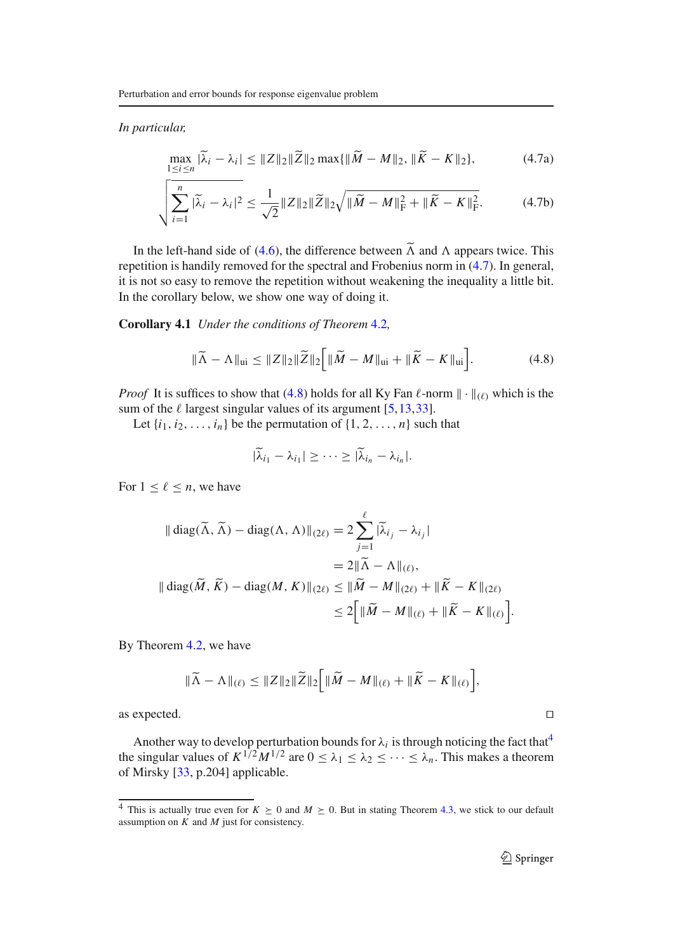*In particular,*

$$
\max_{1 \le i \le n} |\tilde{\lambda}_i - \lambda_i| \le ||Z||_2 ||\tilde{Z}||_2 \max\{||\tilde{M} - M||_2, ||\tilde{K} - K||_2\},\tag{4.7a}
$$

$$
\sqrt{\sum_{i=1}^{n} |\widetilde{\lambda}_{i} - \lambda_{i}|^{2}} \le \frac{1}{\sqrt{2}} \|Z\|_{2} \|\widetilde{Z}\|_{2} \sqrt{\|\widetilde{M} - M\|_{\mathrm{F}}^{2} + \|\widetilde{K} - K\|_{\mathrm{F}}^{2}}.
$$
 (4.7b)

In the left-hand side of (4.6), the difference between  $\tilde{\Lambda}$  and  $\Lambda$  appears twice. This repetition is handily removed for the spectral and Frobenius norm in (4.7). In general, it is not so easy to remove the repetition without weakening the inequality a little bit. In the corollary below, we show one way of doing it.

**Corollary 4.1** *Under the conditions of Theorem* 4.2*,*

$$
\|\widetilde{\Lambda} - \Lambda\|_{\text{ui}} \le \|Z\|_2 \|\widetilde{Z}\|_2 \Big[ \|\widetilde{M} - M\|_{\text{ui}} + \|\widetilde{K} - K\|_{\text{ui}} \Big]. \tag{4.8}
$$

*Proof* It is suffices to show that (4.8) holds for all Ky Fan  $\ell$ -norm  $\|\cdot\|_{(\ell)}$  which is the sum of the  $\ell$  largest singular values of its argument [5,13,33].

Let  $\{i_1, i_2, \ldots, i_n\}$  be the permutation of  $\{1, 2, \ldots, n\}$  such that

$$
|\widetilde{\lambda}_{i_1}-\lambda_{i_1}|\geq\cdots\geq|\widetilde{\lambda}_{i_n}-\lambda_{i_n}|.
$$

For  $1 \leq \ell \leq n$ , we have

$$
\begin{aligned} \|\operatorname{diag}(\widetilde{\Lambda}, \widetilde{\Lambda}) - \operatorname{diag}(\Lambda, \Lambda)\|_{(2\ell)} &= 2 \sum_{j=1}^{\ell} |\widetilde{\lambda}_{i_j} - \lambda_{i_j}| \\ &= 2\|\widetilde{\Lambda} - \Lambda\|_{(\ell)}, \\ \|\operatorname{diag}(\widetilde{M}, \widetilde{K}) - \operatorname{diag}(M, K)\|_{(2\ell)} &\le \|\widetilde{M} - M\|_{(2\ell)} + \|\widetilde{K} - K\|_{(2\ell)} \\ &\le 2\Big[\|\widetilde{M} - M\|_{(\ell)} + \|\widetilde{K} - K\|_{(\ell)}\Big]. \end{aligned}
$$

By Theorem 4.2, we have

$$
\|\widetilde{\Lambda}-\Lambda\|_{(\ell)} \leq \|Z\|_2 \|\widetilde{Z}\|_2 \Big[\|\widetilde{M}-M\|_{(\ell)} + \|\widetilde{K}-K\|_{(\ell)}\Big],
$$

as expected. ⊓-

Another way to develop perturbation bounds for  $\lambda_i$  is through noticing the fact that<sup>4</sup> the singular values of  $K^{1/2}M^{1/2}$  are  $0 \leq \lambda_1 \leq \lambda_2 \leq \cdots \leq \lambda_n$ . This makes a theorem of Mirsky [33, p.204] applicable.

<sup>&</sup>lt;sup>4</sup> This is actually true even for  $K > 0$  and  $M \ge 0$ . But in stating Theorem 4.3, we stick to our default assumption on *K* and *M* just for consistency.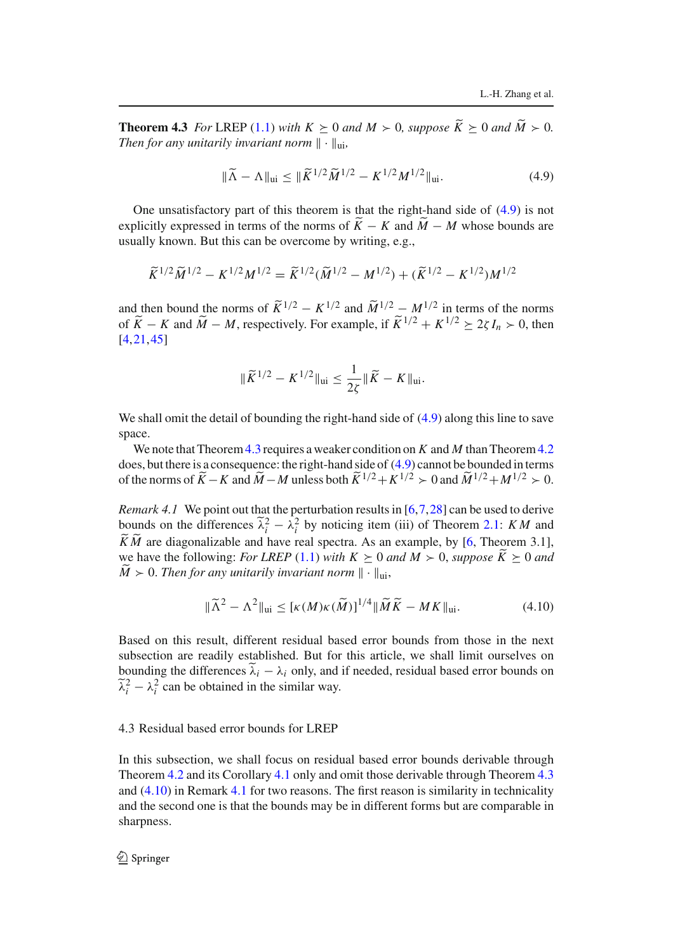**Theorem 4.3** *For* LREP (1.1) *with*  $K \geq 0$  *and*  $M > 0$ *, suppose*  $\overline{K} \geq 0$  *and*  $\overline{M} > 0$ *. Then for any unitarily invariant norm*  $\|\cdot\|_{\text{ui}}$ ,

$$
\|\widetilde{\Lambda} - \Lambda\|_{\rm ui} \le \|\widetilde{K}^{1/2}\widetilde{M}^{1/2} - K^{1/2}M^{1/2}\|_{\rm ui}.
$$
 (4.9)

One unsatisfactory part of this theorem is that the right-hand side of (4.9) is not explicitly expressed in terms of the norms of  $\overline{K} - K$  and  $\overline{M} - M$  whose bounds are usually known. But this can be overcome by writing, e.g.,

$$
\widetilde{K}^{1/2}\widetilde{M}^{1/2} - K^{1/2}M^{1/2} = \widetilde{K}^{1/2}(\widetilde{M}^{1/2} - M^{1/2}) + (\widetilde{K}^{1/2} - K^{1/2})M^{1/2}
$$

and then bound the norms of  $\widetilde{K}^{1/2} - K^{1/2}$  and  $\widetilde{M}^{1/2} - M^{1/2}$  in terms of the norms of  $\widetilde{K} - K$  and  $\widetilde{M} - M$ , respectively. For example, if  $\widetilde{K}^{1/2} + K^{1/2} \geq 2\zeta I_n > 0$ , then [4,21,45]

$$
\|\widetilde{K}^{1/2} - K^{1/2}\|_{\text{ui}} \le \frac{1}{2\zeta} \|\widetilde{K} - K\|_{\text{ui}}.
$$

We shall omit the detail of bounding the right-hand side of (4.9) along this line to save space.

We note that Theorem 4.3 requires a weaker condition on *K* and *M* than Theorem 4.2 does, but there is a consequence: the right-hand side of (4.9) cannot be bounded in terms of the norms of  $\widetilde{K} - K$  and  $\widetilde{M} - M$  unless both  $\widetilde{K}^{1/2} + K^{1/2} > 0$  and  $\widetilde{M}^{1/2} + M^{1/2} > 0$ .

*Remark 4.1* We point out that the perturbation results in [6,7,28] can be used to derive bounds on the differences  $\tilde{\lambda}_i^2 - \lambda_i^2$  by noticing item (iii) of Theorem 2.1: *KM* and *KM* are diagonalizable and have real spectra. As an example, by [6, Theorem 3.1], we have the following: *For LREP* (1.1) *with*  $K \geq 0$  *and*  $M > 0$ , *suppose*  $K \geq 0$  *and*  $\hat{M}$  > 0. *Then for any unitarily invariant norm*  $\|\cdot\|_{\text{ui}}$ ,

$$
\|\widetilde{\Lambda}^2 - \Lambda^2\|_{\text{ui}} \leq [\kappa(M)\kappa(\widetilde{M})]^{1/4} \|\widetilde{M}\widetilde{K} - MK\|_{\text{ui}}.\tag{4.10}
$$

Based on this result, different residual based error bounds from those in the next subsection are readily established. But for this article, we shall limit ourselves on bounding the differences  $\tilde{\lambda}_i - \lambda_i$  only, and if needed, residual based error bounds on  $\tilde{\lambda}_i^2 - \lambda_i^2$  can be obtained in the similar way.

### 4.3 Residual based error bounds for LREP

In this subsection, we shall focus on residual based error bounds derivable through Theorem 4.2 and its Corollary 4.1 only and omit those derivable through Theorem 4.3 and (4.10) in Remark 4.1 for two reasons. The first reason is similarity in technicality and the second one is that the bounds may be in different forms but are comparable in sharpness.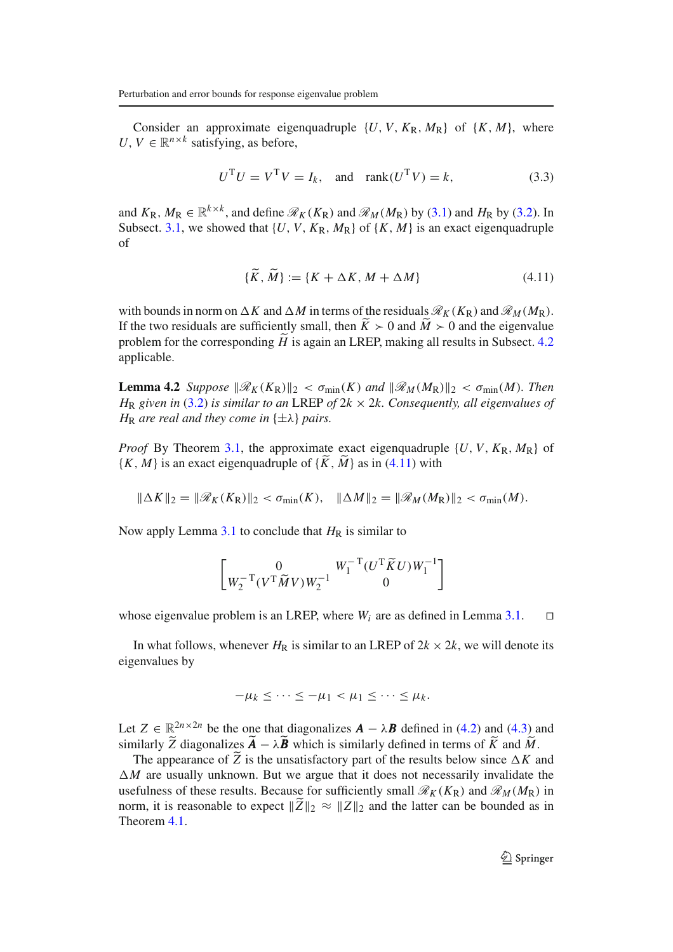Consider an approximate eigenquadruple  $\{U, V, K_{\rm R}, M_{\rm R}\}\$  of  $\{K, M\}$ , where *U*,  $V \in \mathbb{R}^{n \times k}$  satisfying, as before,

$$
UTU = VTV = Ik, and rank(UTV) = k,
$$
\n(3.3)

and  $K_R$ ,  $M_R \in \mathbb{R}^{k \times k}$ , and define  $\mathcal{R}_K(K_R)$  and  $\mathcal{R}_M(M_R)$  by (3.1) and  $H_R$  by (3.2). In Subsect. 3.1, we showed that  $\{U, V, K_R, M_R\}$  of  $\{K, M\}$  is an exact eigenquadruple of

$$
\{K, M\} := \{K + \Delta K, M + \Delta M\} \tag{4.11}
$$

with bounds in norm on  $\Delta K$  and  $\Delta M$  in terms of the residuals  $\mathcal{R}_K(K_R)$  and  $\mathcal{R}_M(M_R)$ . If the two residuals are sufficiently small, then  $K > 0$  and  $M > 0$  and the eigenvalue problem for the corresponding  $\hat{H}$  is again an LREP, making all results in Subsect. 4.2 applicable.

**Lemma 4.2** *Suppose*  $\|\mathscr{R}_K(K_R)\|_2 < \sigma_{\min}(K)$  *and*  $\|\mathscr{R}_M(M_R)\|_2 < \sigma_{\min}(M)$ *. Then H*<sub>R</sub> *given in* (3.2) *is similar to an* LREP *of*  $2k \times 2k$ *. Consequently, all eigenvalues of H*<sub>R</sub> *are real and they come in*  $\{\pm \lambda\}$  *pairs.* 

*Proof* By Theorem 3.1, the approximate exact eigenquadruple  $\{U, V, K_R, M_R\}$  of  $\{K, M\}$  is an exact eigenquadruple of  $\{K, M\}$  as in (4.11) with

$$
\|\Delta K\|_2 = \|\mathscr{R}_K(K_{\rm R})\|_2 < \sigma_{\min}(K), \quad \|\Delta M\|_2 = \|\mathscr{R}_M(M_{\rm R})\|_2 < \sigma_{\min}(M).
$$

Now apply Lemma  $3.1$  to conclude that  $H_R$  is similar to

$$
\begin{bmatrix} 0 & W_1^{-T}(U^T\widetilde{K}U)W_1^{-1} \\ W_2^{-T}(V^T\widetilde{M}V)W_2^{-1} & 0 \end{bmatrix}
$$

whose eigenvalue problem is an LREP, where  $W_i$  are as defined in Lemma 3.1.  $□$ 

In what follows, whenever  $H_R$  is similar to an LREP of  $2k \times 2k$ , we will denote its eigenvalues by

$$
-\mu_k \leq \cdots \leq -\mu_1 < \mu_1 \leq \cdots \leq \mu_k.
$$

Let  $Z \in \mathbb{R}^{2n \times 2n}$  be the one that diagonalizes  $\mathbf{A} - \lambda \mathbf{B}$  defined in (4.2) and (4.3) and similarly *Z* diagonalizes  $\mathbf{A} - \lambda \mathbf{B}$  which is similarly defined in terms of *K* and *M*.

The appearance of  $\tilde{Z}$  is the unsatisfactory part of the results below since  $\Delta K$  and  $\Delta M$  are usually unknown. But we argue that it does not necessarily invalidate the usefulness of these results. Because for sufficiently small  $\mathcal{R}_K(K_R)$  and  $\mathcal{R}_M(M_R)$  in norm, it is reasonable to expect  $\|\tilde{Z}\|_2 \approx \|Z\|_2$  and the latter can be bounded as in Theorem 4.1.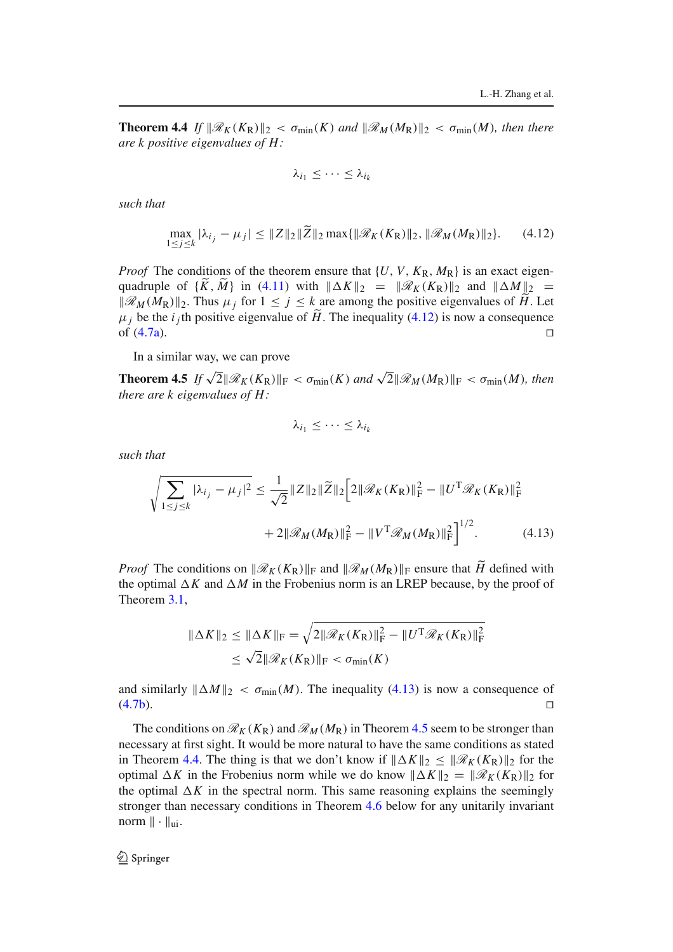**Theorem 4.4** *If*  $\|\mathscr{R}_K(K_R)\|_2 < \sigma_{\min}(K)$  *and*  $\|\mathscr{R}_M(M_R)\|_2 < \sigma_{\min}(M)$ *, then there are k positive eigenvalues of H :*

$$
\lambda_{i_1}\leq\cdots\leq\lambda_{i_k}
$$

*such that*

$$
\max_{1 \le j \le k} |\lambda_{i_j} - \mu_j| \le \|Z\|_2 \|\widetilde{Z}\|_2 \max\{\|\mathcal{R}_K(K_R)\|_2, \|\mathcal{R}_M(M_R)\|_2\}.
$$
 (4.12)

*Proof* The conditions of the theorem ensure that  $\{U, V, K_R, M_R\}$  is an exact eigenquadruple of  $\{K, M\}$  in (4.11) with  $\|\Delta K\|_2 = \|R_K(K_R)\|_2$  and  $\|\Delta M\|_2 =$  $\|\mathcal{R}_M(M_R)\|_2$ . Thus  $\mu_j$  for  $1 \le j \le k$  are among the positive eigenvalues of *H*. Let  $\mu_j$  be the *i*<sub>j</sub>th positive eigenvalue of  $\hat{H}$ . The inequality (4.12) is now a consequence of  $(4.7a)$ . □

In a similar way, we can prove

**Theorem 4.5** *If*  $\sqrt{2}||\mathcal{R}_K(K_R)||_F < \sigma_{\min}(K)$  *and*  $\sqrt{2}||\mathcal{R}_M(M_R)||_F < \sigma_{\min}(M)$ *, then there are k eigenvalues of H :*

$$
\lambda_{i_1}\leq\cdots\leq\lambda_{i_k}
$$

*such that*

$$
\sqrt{\sum_{1 \le j \le k} |\lambda_{i_j} - \mu_j|^2} \le \frac{1}{\sqrt{2}} \|Z\|_2 \|\widetilde{Z}\|_2 \Big[ 2\|\mathcal{R}_K(K_R)\|_F^2 - \|U^T \mathcal{R}_K(K_R)\|_F^2 + 2\|\mathcal{R}_M(M_R)\|_F^2 - \|V^T \mathcal{R}_M(M_R)\|_F^2 \Big]^{1/2}.
$$
 (4.13)

*Proof* The conditions on  $\|\mathcal{R}_K(K_R)\|_F$  and  $\|\mathcal{R}_M(M_R)\|_F$  ensure that *H* defined with the optimal  $\Delta K$  and  $\Delta M$  in the Frobenius norm is an LREP because, by the proof of Theorem 3.1,

$$
\|\Delta K\|_2 \le \|\Delta K\|_{\mathrm{F}} = \sqrt{2\|\mathcal{R}_K(K_{\mathrm{R}})\|_{\mathrm{F}}^2 - \|U^{\mathrm{T}}\mathcal{R}_K(K_{\mathrm{R}})\|_{\mathrm{F}}^2}
$$
  

$$
\le \sqrt{2}\|\mathcal{R}_K(K_{\mathrm{R}})\|_{\mathrm{F}} < \sigma_{\min}(K)
$$

and similarly  $||\Delta M||_2 < \sigma_{min}(M)$ . The inequality (4.13) is now a consequence of (4.7b).  $(4.7b)$ . □

The conditions on  $\mathcal{R}_K(K_R)$  and  $\mathcal{R}_M(M_R)$  in Theorem 4.5 seem to be stronger than necessary at first sight. It would be more natural to have the same conditions as stated in Theorem 4.4. The thing is that we don't know if  $||\Delta K||_2 \leq ||\mathcal{R}_K(K_R)||_2$  for the optimal  $\Delta K$  in the Frobenius norm while we do know  $\|\Delta K\|_2 = \|\mathscr{R}_K(K_R)\|_2$  for the optimal  $\Delta K$  in the spectral norm. This same reasoning explains the seemingly stronger than necessary conditions in Theorem 4.6 below for any unitarily invariant norm ∥ · ∥ui.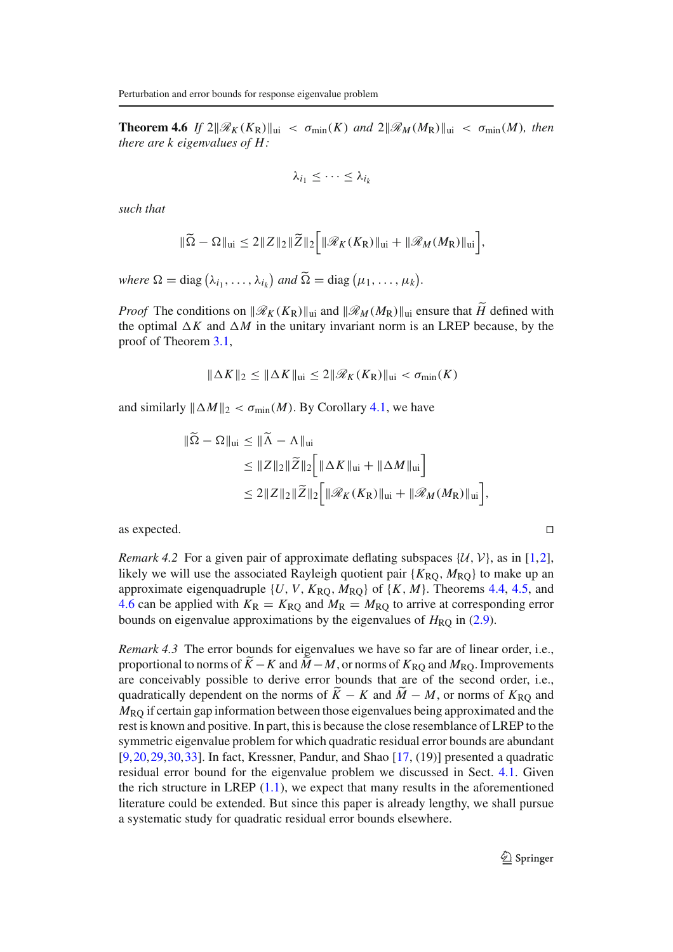**Theorem 4.6** *If*  $2\|\mathscr{R}_K(K_R)\|_{\text{ui}} < \sigma_{\min}(K)$  *and*  $2\|\mathscr{R}_M(M_R)\|_{\text{ui}} < \sigma_{\min}(M)$ *, then there are k eigenvalues of H :*

$$
\lambda_{i_1}\leq\cdots\leq\lambda_{i_k}
$$

*such that*

$$
\|\widetilde{\Omega}-\Omega\|_{\text{ui}}\leq 2\|Z\|_2\|\widetilde{Z}\|_2\Big[\|\mathscr{R}_K(K_{\mathrm{R}})\|_{\text{ui}}+\|\mathscr{R}_M(M_{\mathrm{R}})\|_{\text{ui}}\Big],
$$

where  $\Omega = \text{diag}(\lambda_{i_1}, \ldots, \lambda_{i_k})$  and  $\widetilde{\Omega} = \text{diag}(\mu_1, \ldots, \mu_k)$ .

*Proof* The conditions on  $\|\mathcal{R}_K(K_R)\|_{\text{ui}}$  and  $\|\mathcal{R}_M(M_R)\|_{\text{ui}}$  ensure that *H* defined with the optimal  $\Delta K$  and  $\Delta M$  in the unitary invariant norm is an LREP because, by the proof of Theorem 3.1,

$$
\|\Delta K\|_2 \le \|\Delta K\|_{\text{ui}} \le 2\|\mathscr{R}_K(K_{\text{R}})\|_{\text{ui}} < \sigma_{\min}(K)
$$

and similarly  $\|\Delta M\|_2 < \sigma_{\min}(M)$ . By Corollary 4.1, we have

$$
\|\tilde{\Omega} - \Omega\|_{\text{ui}} \le \|\tilde{\Lambda} - \Lambda\|_{\text{ui}}
$$
  
\n
$$
\le \|Z\|_2 \|\tilde{Z}\|_2 \Big[\|\Delta K\|_{\text{ui}} + \|\Delta M\|_{\text{ui}}\Big]
$$
  
\n
$$
\le 2\|Z\|_2 \|\tilde{Z}\|_2 \Big[\|\mathscr{R}_K(K_R)\|_{\text{ui}} + \|\mathscr{R}_M(M_R)\|_{\text{ui}}\Big],
$$

as expected. ⊓-

*Remark 4.2* For a given pair of approximate deflating subspaces  $\{U, V\}$ , as in [1,2], likely we will use the associated Rayleigh quotient pair  $\{K_{\text{RO}}, M_{\text{RO}}\}$  to make up an approximate eigenquadruple  $\{U, V, K_{\text{RO}}, M_{\text{RO}}\}$  of  $\{K, M\}$ . Theorems 4.4, 4.5, and 4.6 can be applied with  $K_R = K_{RQ}$  and  $M_R = M_{RQ}$  to arrive at corresponding error bounds on eigenvalue approximations by the eigenvalues of  $H_{\text{RO}}$  in (2.9).

*Remark 4.3* The error bounds for eigenvalues we have so far are of linear order, i.e., proportional to norms of  $\ddot{K} - K$  and  $\ddot{M} - M$ , or norms of  $K_{\text{RQ}}$  and  $M_{\text{RQ}}$ . Improvements are conceivably possible to derive error bounds that are of the second order, i.e., quadratically dependent on the norms of  $K - K$  and  $M - M$ , or norms of  $K_{RQ}$  and *M*RQ if certain gap information between those eigenvalues being approximated and the rest is known and positive. In part, this is because the close resemblance of LREP to the symmetric eigenvalue problem for which quadratic residual error bounds are abundant [9,20,29,30,33]. In fact, Kressner, Pandur, and Shao [17, (19)] presented a quadratic residual error bound for the eigenvalue problem we discussed in Sect. 4.1. Given the rich structure in LREP  $(1.1)$ , we expect that many results in the aforementioned literature could be extended. But since this paper is already lengthy, we shall pursue a systematic study for quadratic residual error bounds elsewhere.

 $\hat{Z}$  Springer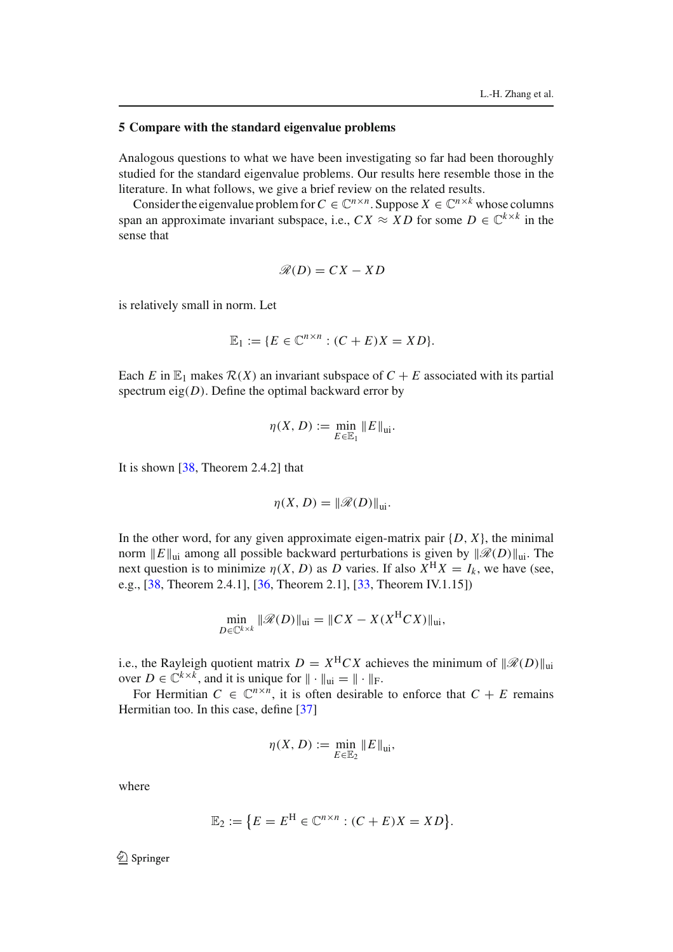#### **5 Compare with the standard eigenvalue problems**

Analogous questions to what we have been investigating so far had been thoroughly studied for the standard eigenvalue problems. Our results here resemble those in the literature. In what follows, we give a brief review on the related results.

Consider the eigenvalue problem for  $C \in \mathbb{C}^{n \times n}$ . Suppose  $X \in \mathbb{C}^{n \times k}$  whose columns span an approximate invariant subspace, i.e.,  $CX \approx XD$  for some  $D \in \mathbb{C}^{k \times k}$  in the sense that

$$
\mathscr{R}(D) = CX - XD
$$

is relatively small in norm. Let

$$
\mathbb{E}_1 := \{ E \in \mathbb{C}^{n \times n} : (C + E)X = XD \}.
$$

Each *E* in  $\mathbb{E}_1$  makes  $\mathcal{R}(X)$  an invariant subspace of  $C + E$  associated with its partial spectrum eig $(D)$ . Define the optimal backward error by

$$
\eta(X, D) := \min_{E \in \mathbb{E}_1} ||E||_{\text{ui}}.
$$

It is shown [38, Theorem 2.4.2] that

$$
\eta(X, D) = \|\mathscr{R}(D)\|_{\text{ui}}.
$$

In the other word, for any given approximate eigen-matrix pair  $\{D, X\}$ , the minimal norm  $||E||_{\text{ni}}$  among all possible backward perturbations is given by  $||\mathcal{R}(D)||_{\text{ni}}$ . The next question is to minimize  $\eta(X, D)$  as *D* varies. If also  $\overline{X}^H X = I_k$ , we have (see, e.g., [38, Theorem 2.4.1], [36, Theorem 2.1], [33, Theorem IV.1.15])

$$
\min_{D \in \mathbb{C}^{k \times k}} \|\mathscr{R}(D)\|_{\text{ui}} = \|CX - X(X^{H}CX)\|_{\text{ui}},
$$

i.e., the Rayleigh quotient matrix  $D = X^{H}CX$  achieves the minimum of  $\|\mathscr{R}(D)\|_{\text{ni}}$ over  $D \in \mathbb{C}^{k \times k}$ , and it is unique for  $\|\cdot\|_{\text{ui}} = \|\cdot\|_{\text{F}}$ .

For Hermitian  $C \in \mathbb{C}^{n \times n}$ , it is often desirable to enforce that  $C + E$  remains Hermitian too. In this case, define [37]

$$
\eta(X, D) := \min_{E \in \mathbb{E}_2} ||E||_{\text{ui}},
$$

where

$$
\mathbb{E}_2 := \{ E = E^H \in \mathbb{C}^{n \times n} : (C + E)X = XD \}.
$$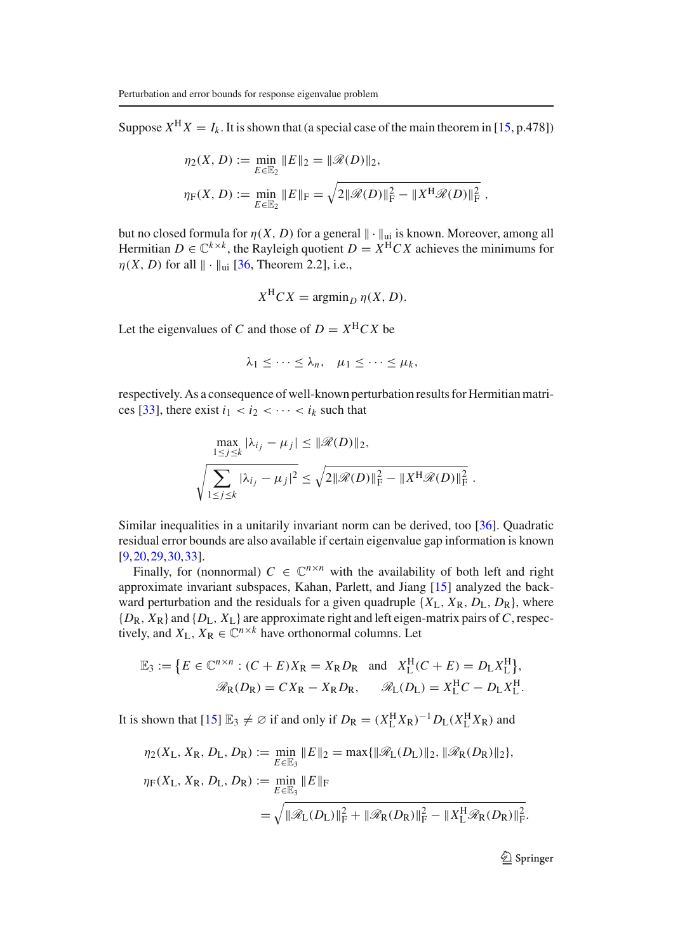Suppose  $X^H X = I_k$ . It is shown that (a special case of the main theorem in [15, p.478])

$$
\eta_2(X, D) := \min_{E \in \mathbb{E}_2} \|E\|_2 = \|\mathcal{R}(D)\|_2,
$$
  

$$
\eta_F(X, D) := \min_{E \in \mathbb{E}_2} \|E\|_F = \sqrt{2\|\mathcal{R}(D)\|_F^2 - \|X^H \mathcal{R}(D)\|_F^2},
$$

but no closed formula for  $\eta(X, D)$  for a general  $\|\cdot\|_{\mathfrak{m}}$  is known. Moreover, among all Hermitian  $D \in \mathbb{C}^{k \times k}$ , the Rayleigh quotient  $D = X^{H}CX$  achieves the minimums for  $\eta(X, D)$  for all  $\|\cdot\|_{\text{ui}}$  [36, Theorem 2.2], i.e.,

$$
X^{H}CX = \operatorname{argmin}_{D} \eta(X, D).
$$

Let the eigenvalues of *C* and those of  $D = X^{H} C X$  be

$$
\lambda_1 \leq \cdots \leq \lambda_n, \quad \mu_1 \leq \cdots \leq \mu_k,
$$

respectively. As a consequence of well-known perturbation results for Hermitian matrices [33], there exist  $i_1 < i_2 < \cdots < i_k$  such that

$$
\max_{1 \le j \le k} |\lambda_{i_j} - \mu_j| \le ||\mathcal{R}(D)||_2,
$$
  

$$
\sqrt{\sum_{1 \le j \le k} |\lambda_{i_j} - \mu_j|^2} \le \sqrt{2||\mathcal{R}(D)||_F^2 - ||X^H \mathcal{R}(D)||_F^2}.
$$

Similar inequalities in a unitarily invariant norm can be derived, too [36]. Quadratic residual error bounds are also available if certain eigenvalue gap information is known [9,20,29,30,33].

Finally, for (nonnormal)  $C \in \mathbb{C}^{n \times n}$  with the availability of both left and right approximate invariant subspaces, Kahan, Parlett, and Jiang [15] analyzed the backward perturbation and the residuals for a given quadruple  $\{X_L, X_R, D_L, D_R\}$ , where {*D*R, *X*R} and {*D*L, *X*L} are approximate right and left eigen-matrix pairs of*C*, respectively, and  $X_L$ ,  $X_R \in \mathbb{C}^{n \times k}$  have orthonormal columns. Let

$$
\mathbb{E}_3 := \left\{ E \in \mathbb{C}^{n \times n} : (C + E)X_R = X_R D_R \text{ and } X_L^H(C + E) = D_L X_L^H \right\},\
$$
  

$$
\mathcal{R}_R(D_R) = C X_R - X_R D_R, \qquad \mathcal{R}_L(D_L) = X_L^H C - D_L X_L^H.
$$

It is shown that  $[15] \mathbb{E}_3 \neq \emptyset$  if and only if  $D_R = (X_L^H X_R)^{-1} D_L (X_L^H X_R)$  and

$$
\eta_2(X_L, X_R, D_L, D_R) := \min_{E \in \mathbb{E}_3} ||E||_2 = \max{||\mathcal{R}_L(D_L)||_2, ||\mathcal{R}_R(D_R)||_2},
$$
  

$$
\eta_F(X_L, X_R, D_L, D_R) := \min_{E \in \mathbb{E}_3} ||E||_F
$$
  

$$
= \sqrt{||\mathcal{R}_L(D_L)||_F^2 + ||\mathcal{R}_R(D_R)||_F^2 - ||X_L^H \mathcal{R}_R(D_R)||_F^2}.
$$

 $\hat{Z}$  Springer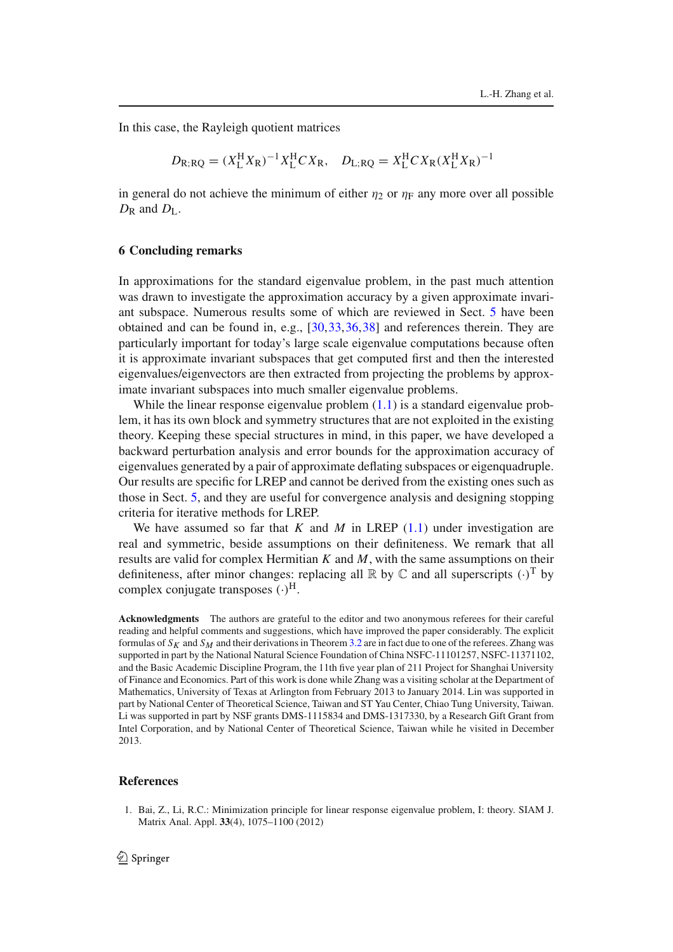In this case, the Rayleigh quotient matrices

$$
D_{R;RQ} = (X_L^H X_R)^{-1} X_L^H C X_R
$$
,  $D_{L;RQ} = X_L^H C X_R (X_L^H X_R)^{-1}$ 

in general do not achieve the minimum of either  $\eta_2$  or  $\eta_F$  any more over all possible  $D_{\rm R}$  and  $D_{\rm L}$ .

### **6 Concluding remarks**

In approximations for the standard eigenvalue problem, in the past much attention was drawn to investigate the approximation accuracy by a given approximate invariant subspace. Numerous results some of which are reviewed in Sect. 5 have been obtained and can be found in, e.g., [30,33,36,38] and references therein. They are particularly important for today's large scale eigenvalue computations because often it is approximate invariant subspaces that get computed first and then the interested eigenvalues/eigenvectors are then extracted from projecting the problems by approximate invariant subspaces into much smaller eigenvalue problems.

While the linear response eigenvalue problem  $(1.1)$  is a standard eigenvalue problem, it has its own block and symmetry structures that are not exploited in the existing theory. Keeping these special structures in mind, in this paper, we have developed a backward perturbation analysis and error bounds for the approximation accuracy of eigenvalues generated by a pair of approximate deflating subspaces or eigenquadruple. Our results are specific for LREP and cannot be derived from the existing ones such as those in Sect. 5, and they are useful for convergence analysis and designing stopping criteria for iterative methods for LREP.

We have assumed so far that *K* and *M* in LREP (1.1) under investigation are real and symmetric, beside assumptions on their definiteness. We remark that all results are valid for complex Hermitian *K* and *M*, with the same assumptions on their definiteness, after minor changes: replacing all  $\mathbb R$  by  $\mathbb C$  and all superscripts  $(\cdot)^T$  by complex conjugate transposes  $(\cdot)^H$ .

**Acknowledgments** The authors are grateful to the editor and two anonymous referees for their careful reading and helpful comments and suggestions, which have improved the paper considerably. The explicit formulas of  $S_K$  and  $S_M$  and their derivations in Theorem 3.2 are in fact due to one of the referees. Zhang was supported in part by the National Natural Science Foundation of China NSFC-11101257, NSFC-11371102, and the Basic Academic Discipline Program, the 11th five year plan of 211 Project for Shanghai University of Finance and Economics. Part of this work is done while Zhang was a visiting scholar at the Department of Mathematics, University of Texas at Arlington from February 2013 to January 2014. Lin was supported in part by National Center of Theoretical Science, Taiwan and ST Yau Center, Chiao Tung University, Taiwan. Li was supported in part by NSF grants DMS-1115834 and DMS-1317330, by a Research Gift Grant from Intel Corporation, and by National Center of Theoretical Science, Taiwan while he visited in December 2013.

#### **References**

1. Bai, Z., Li, R.C.: Minimization principle for linear response eigenvalue problem, I: theory. SIAM J. Matrix Anal. Appl. **33**(4), 1075–1100 (2012)

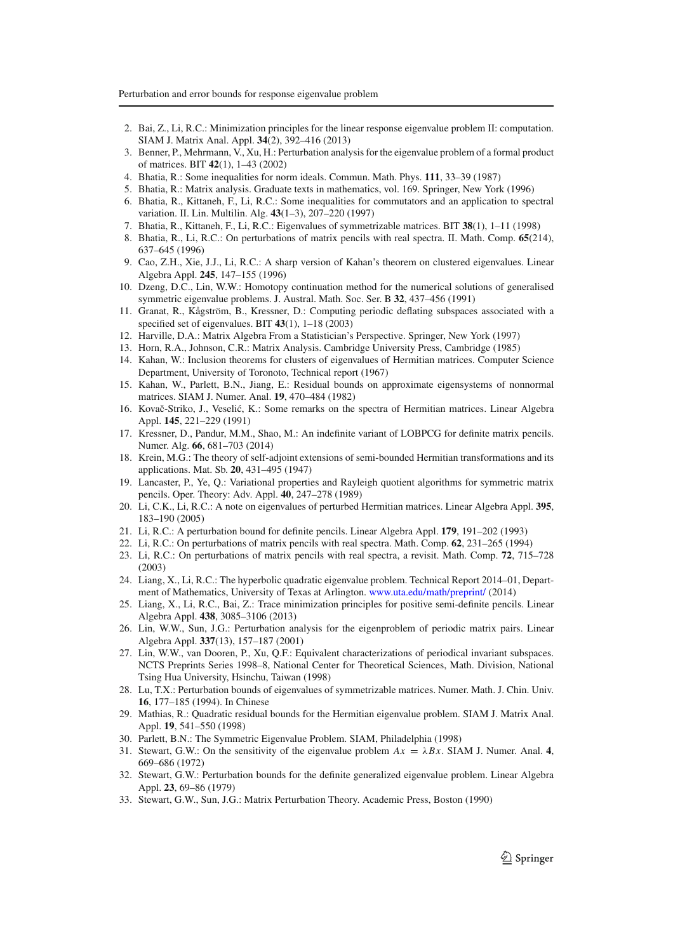- 2. Bai, Z., Li, R.C.: Minimization principles for the linear response eigenvalue problem II: computation. SIAM J. Matrix Anal. Appl. **34**(2), 392–416 (2013)
- 3. Benner, P., Mehrmann, V., Xu, H.: Perturbation analysis for the eigenvalue problem of a formal product of matrices. BIT **42**(1), 1–43 (2002)
- 4. Bhatia, R.: Some inequalities for norm ideals. Commun. Math. Phys. **111**, 33–39 (1987)
- 5. Bhatia, R.: Matrix analysis. Graduate texts in mathematics, vol. 169. Springer, New York (1996)
- 6. Bhatia, R., Kittaneh, F., Li, R.C.: Some inequalities for commutators and an application to spectral variation. II. Lin. Multilin. Alg. **43**(1–3), 207–220 (1997)
- 7. Bhatia, R., Kittaneh, F., Li, R.C.: Eigenvalues of symmetrizable matrices. BIT **38**(1), 1–11 (1998)
- 8. Bhatia, R., Li, R.C.: On perturbations of matrix pencils with real spectra. II. Math. Comp. **65**(214), 637–645 (1996)
- 9. Cao, Z.H., Xie, J.J., Li, R.C.: A sharp version of Kahan's theorem on clustered eigenvalues. Linear Algebra Appl. **245**, 147–155 (1996)
- 10. Dzeng, D.C., Lin, W.W.: Homotopy continuation method for the numerical solutions of generalised symmetric eigenvalue problems. J. Austral. Math. Soc. Ser. B **32**, 437–456 (1991)
- 11. Granat, R., Kågström, B., Kressner, D.: Computing periodic deflating subspaces associated with a specified set of eigenvalues. BIT **43**(1), 1–18 (2003)
- 12. Harville, D.A.: Matrix Algebra From a Statistician's Perspective. Springer, New York (1997)
- 13. Horn, R.A., Johnson, C.R.: Matrix Analysis. Cambridge University Press, Cambridge (1985)
- 14. Kahan, W.: Inclusion theorems for clusters of eigenvalues of Hermitian matrices. Computer Science Department, University of Toronoto, Technical report (1967)
- 15. Kahan, W., Parlett, B.N., Jiang, E.: Residual bounds on approximate eigensystems of nonnormal matrices. SIAM J. Numer. Anal. **19**, 470–484 (1982)
- 16. Kovač-Striko, J., Veselić, K.: Some remarks on the spectra of Hermitian matrices. Linear Algebra Appl. **145**, 221–229 (1991)
- 17. Kressner, D., Pandur, M.M., Shao, M.: An indefinite variant of LOBPCG for definite matrix pencils. Numer. Alg. **66**, 681–703 (2014)
- 18. Krein, M.G.: The theory of self-adjoint extensions of semi-bounded Hermitian transformations and its applications. Mat. Sb. **20**, 431–495 (1947)
- 19. Lancaster, P., Ye, Q.: Variational properties and Rayleigh quotient algorithms for symmetric matrix pencils. Oper. Theory: Adv. Appl. **40**, 247–278 (1989)
- 20. Li, C.K., Li, R.C.: A note on eigenvalues of perturbed Hermitian matrices. Linear Algebra Appl. **395**, 183–190 (2005)
- 21. Li, R.C.: A perturbation bound for definite pencils. Linear Algebra Appl. **179**, 191–202 (1993)
- 22. Li, R.C.: On perturbations of matrix pencils with real spectra. Math. Comp. **62**, 231–265 (1994)
- 23. Li, R.C.: On perturbations of matrix pencils with real spectra, a revisit. Math. Comp. **72**, 715–728 (2003)
- 24. Liang, X., Li, R.C.: The hyperbolic quadratic eigenvalue problem. Technical Report 2014–01, Department of Mathematics, University of Texas at Arlington. www.uta.edu/math/preprint/ (2014)
- 25. Liang, X., Li, R.C., Bai, Z.: Trace minimization principles for positive semi-definite pencils. Linear Algebra Appl. **438**, 3085–3106 (2013)
- 26. Lin, W.W., Sun, J.G.: Perturbation analysis for the eigenproblem of periodic matrix pairs. Linear Algebra Appl. **337**(13), 157–187 (2001)
- 27. Lin, W.W., van Dooren, P., Xu, Q.F.: Equivalent characterizations of periodical invariant subspaces. NCTS Preprints Series 1998–8, National Center for Theoretical Sciences, Math. Division, National Tsing Hua University, Hsinchu, Taiwan (1998)
- 28. Lu, T.X.: Perturbation bounds of eigenvalues of symmetrizable matrices. Numer. Math. J. Chin. Univ. **16**, 177–185 (1994). In Chinese
- 29. Mathias, R.: Quadratic residual bounds for the Hermitian eigenvalue problem. SIAM J. Matrix Anal. Appl. **19**, 541–550 (1998)
- 30. Parlett, B.N.: The Symmetric Eigenvalue Problem. SIAM, Philadelphia (1998)
- 31. Stewart, G.W.: On the sensitivity of the eigenvalue problem  $Ax = \lambda Bx$ . SIAM J. Numer. Anal. 4, 669–686 (1972)
- 32. Stewart, G.W.: Perturbation bounds for the definite generalized eigenvalue problem. Linear Algebra Appl. **23**, 69–86 (1979)
- 33. Stewart, G.W., Sun, J.G.: Matrix Perturbation Theory. Academic Press, Boston (1990)